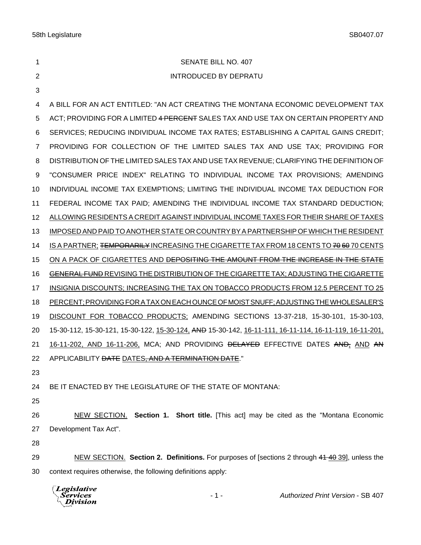| 1              | SENATE BILL NO. 407                                                                                          |
|----------------|--------------------------------------------------------------------------------------------------------------|
| $\overline{2}$ | <b>INTRODUCED BY DEPRATU</b>                                                                                 |
| 3              |                                                                                                              |
| 4              | A BILL FOR AN ACT ENTITLED: "AN ACT CREATING THE MONTANA ECONOMIC DEVELOPMENT TAX                            |
| 5              | ACT; PROVIDING FOR A LIMITED 4 PERCENT SALES TAX AND USE TAX ON CERTAIN PROPERTY AND                         |
| 6              | SERVICES; REDUCING INDIVIDUAL INCOME TAX RATES; ESTABLISHING A CAPITAL GAINS CREDIT;                         |
| $\overline{7}$ | PROVIDING FOR COLLECTION OF THE LIMITED SALES TAX AND USE TAX; PROVIDING FOR                                 |
| 8              | DISTRIBUTION OF THE LIMITED SALES TAX AND USE TAX REVENUE; CLARIFYING THE DEFINITION OF                      |
| 9              | "CONSUMER PRICE INDEX" RELATING TO INDIVIDUAL INCOME TAX PROVISIONS; AMENDING                                |
| 10             | INDIVIDUAL INCOME TAX EXEMPTIONS; LIMITING THE INDIVIDUAL INCOME TAX DEDUCTION FOR                           |
| 11             | FEDERAL INCOME TAX PAID; AMENDING THE INDIVIDUAL INCOME TAX STANDARD DEDUCTION;                              |
| 12             | ALLOWING RESIDENTS A CREDIT AGAINST INDIVIDUAL INCOME TAXES FOR THEIR SHARE OF TAXES                         |
| 13             | IMPOSED AND PAID TO ANOTHER STATE OR COUNTRY BY A PARTNERSHIP OF WHICH THE RESIDENT                          |
| 14             | IS A PARTNER; <del>TEMPORARILY</del> INCREASING THE CIGARETTE TAX FROM 18 CENTS TO <del>70 60</del> 70 CENTS |
| 15             | ON A PACK OF CIGARETTES AND <del>DEPOSITING THE AMOUNT FROM THE INCREASE IN THE STATE</del>                  |
| 16             | GENERAL FUND REVISING THE DISTRIBUTION OF THE CIGARETTE TAX; ADJUSTING THE CIGARETTE                         |
| 17             | INSIGNIA DISCOUNTS; INCREASING THE TAX ON TOBACCO PRODUCTS FROM 12.5 PERCENT TO 25                           |
| 18             | PERCENT; PROVIDING FOR A TAX ON EACH OUNCE OF MOIST SNUFF; ADJUSTING THE WHOLESALER'S                        |
| 19             | DISCOUNT FOR TOBACCO PRODUCTS; AMENDING SECTIONS 13-37-218, 15-30-101, 15-30-103,                            |
| 20             | 15-30-112, 15-30-121, 15-30-122, 15-30-124, AND 15-30-142, 16-11-111, 16-11-114, 16-11-119, 16-11-201,       |
| 21             | 16-11-202, AND 16-11-206, MCA; AND PROVIDING <del>DELAYED</del> EFFECTIVE DATES AND, AND AN                  |
| 22             | APPLICABILITY DATE DATES, AND A TERMINATION DATE."                                                           |
| 23             |                                                                                                              |
| 24             | BE IT ENACTED BY THE LEGISLATURE OF THE STATE OF MONTANA:                                                    |
| 25             |                                                                                                              |
| 26             | NEW SECTION. Section 1. Short title. [This act] may be cited as the "Montana Economic                        |
| 27             | Development Tax Act".                                                                                        |
| 28             |                                                                                                              |
| 29             | NEW SECTION. Section 2. Definitions. For purposes of [sections 2 through 44 40 39], unless the               |

context requires otherwise, the following definitions apply:

| <i>Legislative</i><br>\Services<br>$\Lambda$ Division | $-1 -$ | <b>Authorized Print Version - SB 407</b> |
|-------------------------------------------------------|--------|------------------------------------------|
|-------------------------------------------------------|--------|------------------------------------------|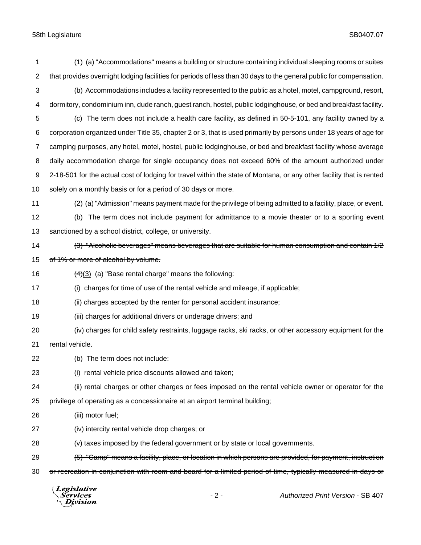(1) (a) "Accommodations" means a building or structure containing individual sleeping rooms or suites that provides overnight lodging facilities for periods of less than 30 days to the general public for compensation. (b) Accommodations includes a facility represented to the public as a hotel, motel, campground, resort, dormitory, condominium inn, dude ranch, guest ranch, hostel, public lodginghouse, or bed and breakfast facility. (c) The term does not include a health care facility, as defined in 50-5-101, any facility owned by a corporation organized under Title 35, chapter 2 or 3, that is used primarily by persons under 18 years of age for camping purposes, any hotel, motel, hostel, public lodginghouse, or bed and breakfast facility whose average daily accommodation charge for single occupancy does not exceed 60% of the amount authorized under 2-18-501 for the actual cost of lodging for travel within the state of Montana, or any other facility that is rented solely on a monthly basis or for a period of 30 days or more. (2) (a) "Admission" means payment made for the privilege of being admitted to a facility, place, or event. (b) The term does not include payment for admittance to a movie theater or to a sporting event sanctioned by a school district, college, or university. 14 (3) "Alcoholic beverages" means beverages that are suitable for human consumption and contain 1/2 15 of 1% or more of alcohol by volume.  $(4)(3)$  (a) "Base rental charge" means the following: (i) charges for time of use of the rental vehicle and mileage, if applicable; (ii) charges accepted by the renter for personal accident insurance; (iii) charges for additional drivers or underage drivers; and (iv) charges for child safety restraints, luggage racks, ski racks, or other accessory equipment for the rental vehicle. (b) The term does not include: (i) rental vehicle price discounts allowed and taken; (ii) rental charges or other charges or fees imposed on the rental vehicle owner or operator for the privilege of operating as a concessionaire at an airport terminal building; (iii) motor fuel; (iv) intercity rental vehicle drop charges; or (v) taxes imposed by the federal government or by state or local governments. (5) "Camp" means a facility, place, or location in which persons are provided, for payment, instruction 30 or recreation in conjunction with room and board for a limited period of time, typically measured in days or **Legislative** *Services* - 2 - *Authorized Print Version* - SB 407 Division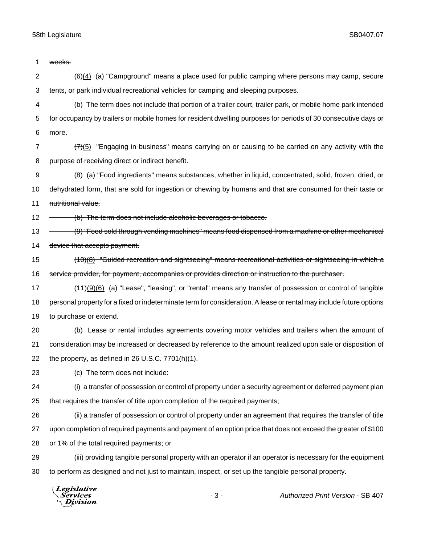| 1              | weeks.                                                                                                                         |
|----------------|--------------------------------------------------------------------------------------------------------------------------------|
| $\overline{2}$ | $\left(\frac{6}{2}\right)\left(4\right)$ (a) "Campground" means a place used for public camping where persons may camp, secure |
| 3              | tents, or park individual recreational vehicles for camping and sleeping purposes.                                             |
| 4              | (b) The term does not include that portion of a trailer court, trailer park, or mobile home park intended                      |
| 5              | for occupancy by trailers or mobile homes for resident dwelling purposes for periods of 30 consecutive days or                 |
| 6              | more.                                                                                                                          |
| $\overline{7}$ | $\frac{77}{5}$ "Engaging in business" means carrying on or causing to be carried on any activity with the                      |
| 8              | purpose of receiving direct or indirect benefit.                                                                               |
| 9              | (8) (a) "Food ingredients" means substances, whether in liquid, concentrated, solid, frozen, dried, or                         |
| 10             | dehydrated form, that are sold for ingestion or chewing by humans and that are consumed for their taste or                     |
| 11             | nutritional value.                                                                                                             |
| 12             | (b) The term does not include alcoholic beverages or tobacco.                                                                  |
| 13             | (9) "Food sold through vending machines" means food dispensed from a machine or other mechanical                               |
| 14             | device that accepts payment.                                                                                                   |
| 15             | $(10)(8)$ "Guided recreation and sightseeing" means recreational activities or sightseeing in which a                          |
| 16             | service provider, for payment, accompanies or provides direction or instruction to the purchaser.                              |
| 17             | $(11)(9)(6)$ (a) "Lease", "leasing", or "rental" means any transfer of possession or control of tangible                       |
| 18             | personal property for a fixed or indeterminate term for consideration. A lease or rental may include future options            |
| 19             | to purchase or extend.                                                                                                         |
| 20             | (b) Lease or rental includes agreements covering motor vehicles and trailers when the amount of                                |
| 21             | consideration may be increased or decreased by reference to the amount realized upon sale or disposition of                    |
| 22             | the property, as defined in 26 U.S.C. 7701(h)(1).                                                                              |
| 23             | (c) The term does not include:                                                                                                 |
| 24             | (i) a transfer of possession or control of property under a security agreement or deferred payment plan                        |
| 25             | that requires the transfer of title upon completion of the required payments;                                                  |
| 26             | (ii) a transfer of possession or control of property under an agreement that requires the transfer of title                    |
| 27             | upon completion of required payments and payment of an option price that does not exceed the greater of \$100                  |
| 28             | or 1% of the total required payments; or                                                                                       |
| 29             | (iii) providing tangible personal property with an operator if an operator is necessary for the equipment                      |
| 30             | to perform as designed and not just to maintain, inspect, or set up the tangible personal property.                            |
|                | $\sqrt{L}$ <i>egislative</i>                                                                                                   |

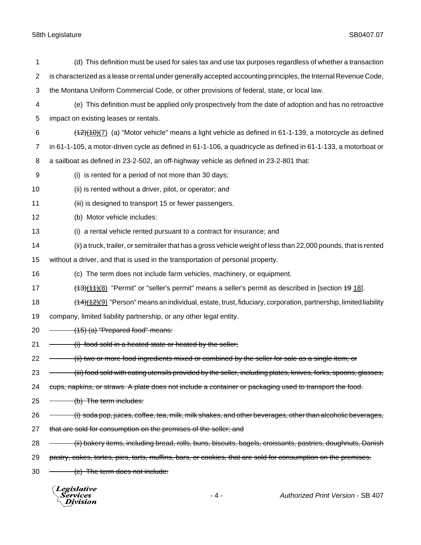| 1              | (d) This definition must be used for sales tax and use tax purposes regardless of whether a transaction           |
|----------------|-------------------------------------------------------------------------------------------------------------------|
| $\overline{2}$ | is characterized as a lease or rental under generally accepted accounting principles, the Internal Revenue Code,  |
| 3              | the Montana Uniform Commercial Code, or other provisions of federal, state, or local law.                         |
| 4              | (e) This definition must be applied only prospectively from the date of adoption and has no retroactive           |
| 5              | impact on existing leases or rentals.                                                                             |
| 6              | $(12)(10)(7)$ (a) "Motor vehicle" means a light vehicle as defined in 61-1-139, a motorcycle as defined           |
| $\overline{7}$ | in 61-1-105, a motor-driven cycle as defined in 61-1-106, a quadricycle as defined in 61-1-133, a motorboat or    |
| 8              | a sailboat as defined in 23-2-502, an off-highway vehicle as defined in 23-2-801 that:                            |
| 9              | (i) is rented for a period of not more than 30 days;                                                              |
| 10             | (ii) is rented without a driver, pilot, or operator; and                                                          |
| 11             | (iii) is designed to transport 15 or fewer passengers.                                                            |
| 12             | (b) Motor vehicle includes:                                                                                       |
| 13             | (i) a rental vehicle rented pursuant to a contract for insurance; and                                             |
| 14             | (ii) a truck, trailer, or semitrailer that has a gross vehicle weight of less than 22,000 pounds, that is rented  |
| 15             | without a driver, and that is used in the transportation of personal property.                                    |
| 16             | (c) The term does not include farm vehicles, machinery, or equipment.                                             |
| 17             | $(13)(11)(8)$ "Permit" or "seller's permit" means a seller's permit as described in [section 19 18].              |
| 18             | $(14)(12)(9)$ "Person" means an individual, estate, trust, fiduciary, corporation, partnership, limited liability |
| 19             | company, limited liability partnership, or any other legal entity.                                                |
| 20             | (15) (a) "Prepared food" means:                                                                                   |
| 21             | (i) food sold in a heated state or heated by the seller;                                                          |
| 22             | (ii) two or more food ingredients mixed or combined by the seller for sale as a single item; or                   |
| 23             | (iii) food sold with eating utensils provided by the seller, including plates, knives, forks, spoons, glasses,    |
| 24             | cups, napkins, or straws. A plate does not include a container or packaging used to transport the food.           |
| 25             | (b) The term includes:                                                                                            |
| 26             | (i) soda pop, juices, coffee, tea, milk, milk shakes, and other beverages, other than alcoholic beverages,        |
| 27             | that are sold for consumption on the premises of the seller; and                                                  |
| 28             | (ii) bakery items, including bread, rolls, buns, biscuits, bagels, croissants, pastries, doughnuts, Danish        |
| 29             | pastry, cakes, tortes, pies, tarts, muffins, bars, or cookies, that are sold for consumption on the premises.     |
| 30             | (c) The term does not include:                                                                                    |
|                | Legislative<br><b>Services</b><br><b>Authorized Print Version - SB 407</b><br>- 4 -<br>Division                   |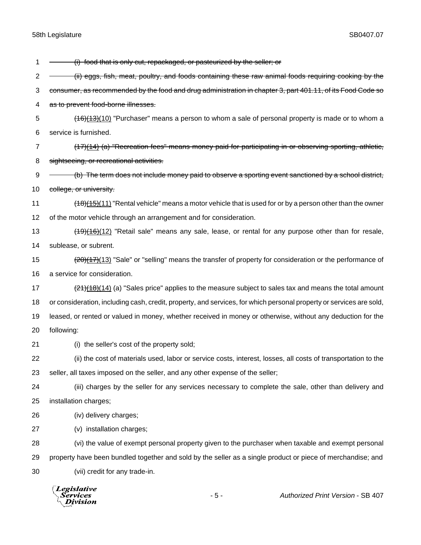1 - (i) food that is only cut, repackaged, or pasteurized by the seller; or 2 - (ii) eggs, fish, meat, poultry, and foods containing these raw animal foods requiring cooking by the 3 consumer, as recommended by the food and drug administration in chapter 3, part 401.11, of its Food Code so as to prevent food-borne illnesses. 5 (16)(13)(10) "Purchaser" means a person to whom a sale of personal property is made or to whom a service is furnished. (17)(14) (a) "Recreation fees" means money paid for participating in or observing sporting, athletic, 8 sightseeing, or recreational activities.  $\rightarrow$  (b) The term does not include money paid to observe a sporting event sanctioned by a school district, 10 college, or university. 11 (18)(15)(11) "Rental vehicle" means a motor vehicle that is used for or by a person other than the owner of the motor vehicle through an arrangement and for consideration. 13 (19)(16)(12) "Retail sale" means any sale, lease, or rental for any purpose other than for resale, sublease, or subrent. 15 (20)(17)(13) "Sale" or "selling" means the transfer of property for consideration or the performance of a service for consideration.  $\left(21\right)\left(18\right)$  (14) (a) "Sales price" applies to the measure subject to sales tax and means the total amount or consideration, including cash, credit, property, and services, for which personal property or services are sold, leased, or rented or valued in money, whether received in money or otherwise, without any deduction for the following: (i) the seller's cost of the property sold; (ii) the cost of materials used, labor or service costs, interest, losses, all costs of transportation to the seller, all taxes imposed on the seller, and any other expense of the seller; (iii) charges by the seller for any services necessary to complete the sale, other than delivery and installation charges; (iv) delivery charges; (v) installation charges; (vi) the value of exempt personal property given to the purchaser when taxable and exempt personal property have been bundled together and sold by the seller as a single product or piece of merchandise; and (vii) credit for any trade-in.

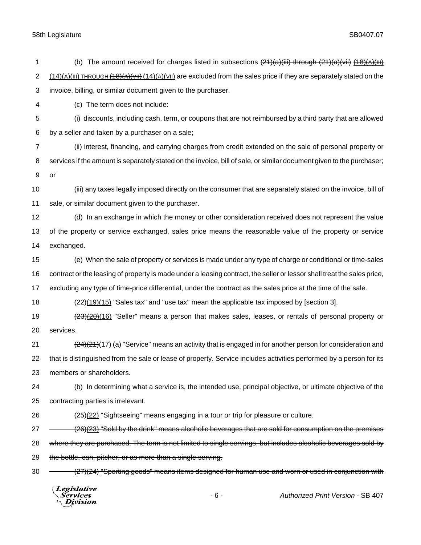| 1              | (b) The amount received for charges listed in subsections $(21)(a)(iii)$ through $(21)(a)(vii)$ $(18)(A)(iii)$              |
|----------------|-----------------------------------------------------------------------------------------------------------------------------|
| $\overline{2}$ | $(14)(A)(III)$ THROUGH $(18)(A)(VIII)$ are excluded from the sales price if they are separately stated on the               |
| 3              | invoice, billing, or similar document given to the purchaser.                                                               |
| 4              | (c) The term does not include:                                                                                              |
| 5              | (i) discounts, including cash, term, or coupons that are not reimbursed by a third party that are allowed                   |
| 6              | by a seller and taken by a purchaser on a sale;                                                                             |
| 7              | (ii) interest, financing, and carrying charges from credit extended on the sale of personal property or                     |
| 8              | services if the amount is separately stated on the invoice, bill of sale, or similar document given to the purchaser;       |
| 9              | <b>or</b>                                                                                                                   |
| 10             | (iii) any taxes legally imposed directly on the consumer that are separately stated on the invoice, bill of                 |
| 11             | sale, or similar document given to the purchaser.                                                                           |
| 12             | (d) In an exchange in which the money or other consideration received does not represent the value                          |
| 13             | of the property or service exchanged, sales price means the reasonable value of the property or service                     |
| 14             | exchanged.                                                                                                                  |
| 15             | (e) When the sale of property or services is made under any type of charge or conditional or time-sales                     |
| 16             | contract or the leasing of property is made under a leasing contract, the seller or lessor shall treat the sales price,     |
| 17             | excluding any type of time-price differential, under the contract as the sales price at the time of the sale.               |
| 18             | $(22)(19)(15)$ "Sales tax" and "use tax" mean the applicable tax imposed by [section 3].                                    |
| 19             | $\frac{(23)(20)(16)}{2}$ "Seller" means a person that makes sales, leases, or rentals of personal property or               |
| 20             | services.                                                                                                                   |
| 21             | $\frac{(24)(21)(17)}{(21)(21)}$ (a) "Service" means an activity that is engaged in for another person for consideration and |
| 22             | that is distinguished from the sale or lease of property. Service includes activities performed by a person for its         |
| 23             | members or shareholders.                                                                                                    |
| 24             | (b) In determining what a service is, the intended use, principal objective, or ultimate objective of the                   |
| 25             | contracting parties is irrelevant.                                                                                          |
| 26             | (25)(22) "Sightseeing" means engaging in a tour or trip for pleasure or culture.                                            |
| 27             | (26)(23) "Sold by the drink" means alcoholic beverages that are sold for consumption on the premises                        |
| 28             | where they are purchased. The term is not limited to single servings, but includes alcoholic beverages sold by              |
| 29             | the bottle, can, pitcher, or as more than a single serving.                                                                 |
| 30             | (27)(24) "Sporting goods" means items designed for human use and worn or used in conjunction with                           |
|                | Legislative<br>Authorized Print Version - SB 407<br>$-6-$<br>Services<br>Division                                           |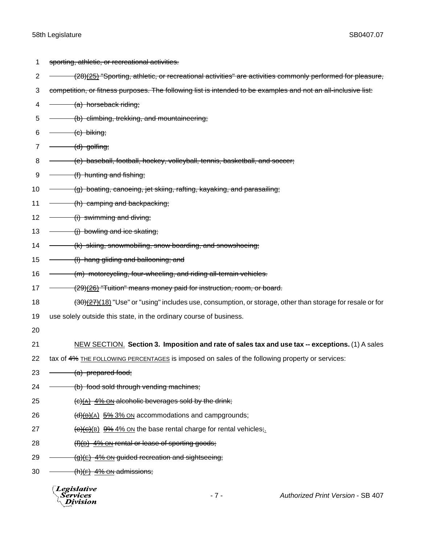1 sporting, athletic, or recreational activities.

2 - (28)(25) "Sporting, athletic, or recreational activities" are activities commonly performed for pleasure, 3 competition, or fitness purposes. The following list is intended to be examples and not an all-inclusive list: 4 (a) horseback riding; 5 (b) climbing, trekking, and mountaineering;  $6 \leftarrow$  (c) biking;  $7 \longrightarrow (d)$  golfing; 8 (e) baseball, football, hockey, volleyball, tennis, basketball, and soccer;  $9 \leftarrow$  (f) hunting and fishing; 10 - (g) boating, canoeing, jet skiing, rafting, kayaking, and parasailing; 11 - (h) camping and backpacking; 12  $\overline{\hspace{1cm}}$  (i) swimming and diving; 13  $\rightarrow$  (i) bowling and ice skating; 14 - <del>(k) skiing, snowmobiling, snow boarding, and snowshoeing;</del> 15  $\leftarrow$  (I) hang gliding and ballooning; and 16 (m) motorcycling, four-wheeling, and riding all-terrain vehicles. 17 - (29)(26) "Tuition" means money paid for instruction, room, or board. 18 (30)(27)(18) "Use" or "using" includes use, consumption, or storage, other than storage for resale or for 19 use solely outside this state, in the ordinary course of business. 20 21 NEW SECTION. **Section 3. Imposition and rate of sales tax and use tax -- exceptions.** (1) A sales 22 tax of 4% THE FOLLOWING PERCENTAGES is imposed on sales of the following property or services: 23  $\leftarrow$  (a) prepared food; 24 - (b) food sold through vending machines; 25  $(e)(A)$  4% ON alcoholic beverages sold by the drink; 26  $(d)(B)(A)$  5% 3% ON accommodations and campgrounds; 27  $(e)(e)(B)$   $9\%$  4% ON the base rental charge for rental vehicles; 28 (f)(b) 4% ON rental or lease of sporting goods; 29  $(g)(E)$  4% ON guided recreation and sightseeing;  $30 \longrightarrow$  (h)(F) 4% ON admissions;

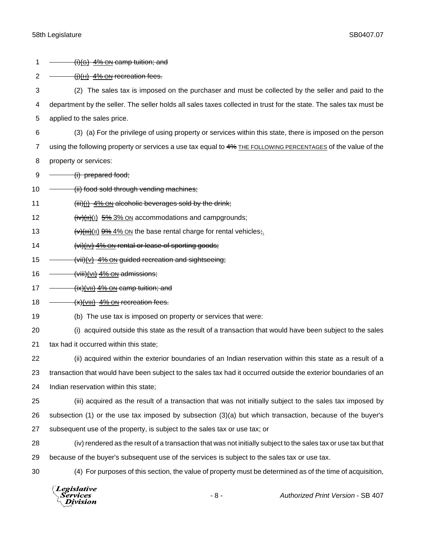| 2              | $\frac{f(t)(H)}{2}$ 4% ON recreation fees.                                                                         |
|----------------|--------------------------------------------------------------------------------------------------------------------|
| 3              | The sales tax is imposed on the purchaser and must be collected by the seller and paid to the<br>(2)               |
| 4              | department by the seller. The seller holds all sales taxes collected in trust for the state. The sales tax must be |
| 5              | applied to the sales price.                                                                                        |
| 6              | (3) (a) For the privilege of using property or services within this state, there is imposed on the person          |
| $\overline{7}$ | using the following property or services a use tax equal to 4% THE FOLLOWING PERCENTAGES of the value of the       |
| 8              | property or services:                                                                                              |
| 9              | (i) prepared food;                                                                                                 |
| 10             | (ii) food sold through vending machines;                                                                           |
| 11             | $(iii)(i)$ 4% ON alcoholic beverages sold by the drink;                                                            |
| 12             | $\frac{f(v)(H)(1)}{2}$ 5% 3% ON accommodations and campgrounds;                                                    |
| 13             | $\sqrt{(v)(\text{III})(\text{II})}$ 9% 4% ON the base rental charge for rental vehicles;                           |
| 14             | (vi)(IV) 4% ON rental or lease of sporting goods;                                                                  |
| 15             | (vii)(v) 4% ON guided recreation and sightseeing;                                                                  |
| 16             | (viii)(vi) 4% ON admissions;                                                                                       |
| 17             | (ix)(VII) 4% ON camp tuition; and                                                                                  |
| 18             | $(x)(v  )$ 4% ON recreation fees.                                                                                  |
| 19             | (b) The use tax is imposed on property or services that were:                                                      |
| 20             | (i) acquired outside this state as the result of a transaction that would have been subject to the sales           |
| 21             | tax had it occurred within this state;                                                                             |
| 22             | (ii) acquired within the exterior boundaries of an Indian reservation within this state as a result of a           |
| 23             | transaction that would have been subject to the sales tax had it occurred outside the exterior boundaries of an    |
| 24             | Indian reservation within this state;                                                                              |
| 25             | (iii) acquired as the result of a transaction that was not initially subject to the sales tax imposed by           |
| 26             | subsection (1) or the use tax imposed by subsection (3)(a) but which transaction, because of the buyer's           |
| 27             | subsequent use of the property, is subject to the sales tax or use tax; or                                         |
| 28             | (iv) rendered as the result of a transaction that was not initially subject to the sales tax or use tax but that   |
| 29             | because of the buyer's subsequent use of the services is subject to the sales tax or use tax.                      |
| 30             | (4) For purposes of this section, the value of property must be determined as of the time of acquisition,          |
|                | Legislative<br>Authorized Print Version - SB 407<br>$-8-$<br><i>Services</i><br>Division                           |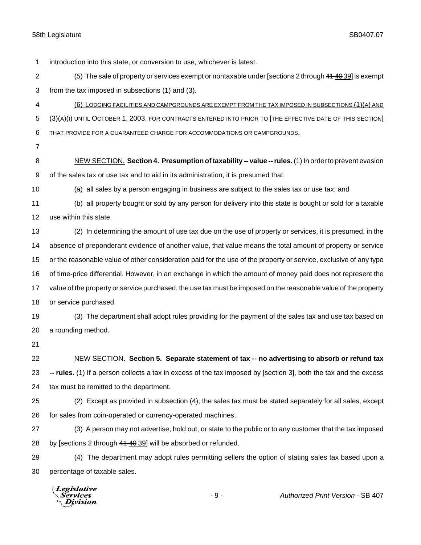introduction into this state, or conversion to use, whichever is latest. 2 (5) The sale of property or services exempt or nontaxable under [sections 2 through 41 40 39] is exempt from the tax imposed in subsections (1) and (3). (6) LODGING FACILITIES AND CAMPGROUNDS ARE EXEMPT FROM THE TAX IMPOSED IN SUBSECTIONS (1)(A) AND (3)(A)(I) UNTIL OCTOBER 1, 2003, FOR CONTRACTS ENTERED INTO PRIOR TO [THE EFFECTIVE DATE OF THIS SECTION] THAT PROVIDE FOR A GUARANTEED CHARGE FOR ACCOMMODATIONS OR CAMPGROUNDS. NEW SECTION. **Section 4. Presumption of taxability -- value -- rules.**(1) In order to prevent evasion of the sales tax or use tax and to aid in its administration, it is presumed that: (a) all sales by a person engaging in business are subject to the sales tax or use tax; and (b) all property bought or sold by any person for delivery into this state is bought or sold for a taxable use within this state. (2) In determining the amount of use tax due on the use of property or services, it is presumed, in the absence of preponderant evidence of another value, that value means the total amount of property or service or the reasonable value of other consideration paid for the use of the property or service, exclusive of any type of time-price differential. However, in an exchange in which the amount of money paid does not represent the value of the property or service purchased, the use tax must be imposed on the reasonable value of the property or service purchased. (3) The department shall adopt rules providing for the payment of the sales tax and use tax based on a rounding method. NEW SECTION. **Section 5. Separate statement of tax -- no advertising to absorb or refund tax -- rules.** (1) If a person collects a tax in excess of the tax imposed by [section 3], both the tax and the excess tax must be remitted to the department. (2) Except as provided in subsection (4), the sales tax must be stated separately for all sales, except for sales from coin-operated or currency-operated machines. (3) A person may not advertise, hold out, or state to the public or to any customer that the tax imposed 28 by [sections 2 through 41 40 39] will be absorbed or refunded. (4) The department may adopt rules permitting sellers the option of stating sales tax based upon a percentage of taxable sales.**Legislative** 

*Services* Division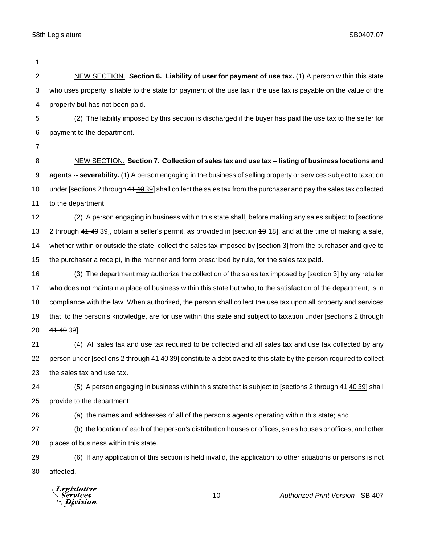| 1              |                                                                                                                    |
|----------------|--------------------------------------------------------------------------------------------------------------------|
| $\overline{2}$ | NEW SECTION. Section 6. Liability of user for payment of use tax. (1) A person within this state                   |
| 3              | who uses property is liable to the state for payment of the use tax if the use tax is payable on the value of the  |
| 4              | property but has not been paid.                                                                                    |
| 5              | (2) The liability imposed by this section is discharged if the buyer has paid the use tax to the seller for        |
| 6              | payment to the department.                                                                                         |
| 7              |                                                                                                                    |
| 8              | NEW SECTION. Section 7. Collection of sales tax and use tax -- listing of business locations and                   |
| 9              | agents -- severability. (1) A person engaging in the business of selling property or services subject to taxation  |
| 10             | under [sections 2 through 44 40 39] shall collect the sales tax from the purchaser and pay the sales tax collected |
| 11             | to the department.                                                                                                 |
| 12             | (2) A person engaging in business within this state shall, before making any sales subject to [sections            |
| 13             | 2 through 41 40 39], obtain a seller's permit, as provided in [section 49 18], and at the time of making a sale,   |
| 14             | whether within or outside the state, collect the sales tax imposed by [section 3] from the purchaser and give to   |
| 15             | the purchaser a receipt, in the manner and form prescribed by rule, for the sales tax paid.                        |
| 16             | (3) The department may authorize the collection of the sales tax imposed by [section 3] by any retailer            |
| 17             | who does not maintain a place of business within this state but who, to the satisfaction of the department, is in  |
| 18             | compliance with the law. When authorized, the person shall collect the use tax upon all property and services      |
| 19             | that, to the person's knowledge, are for use within this state and subject to taxation under [sections 2 through   |
| 20             | 41 40 39].                                                                                                         |
| 21             | (4) All sales tax and use tax required to be collected and all sales tax and use tax collected by any              |
| 22             | person under [sections 2 through 41 40 39] constitute a debt owed to this state by the person required to collect  |
| 23             | the sales tax and use tax.                                                                                         |
| 24             | (5) A person engaging in business within this state that is subject to [sections 2 through 41 40 39] shall         |
| 25             | provide to the department:                                                                                         |
| 26             | (a) the names and addresses of all of the person's agents operating within this state; and                         |
| 27             | (b) the location of each of the person's distribution houses or offices, sales houses or offices, and other        |
| 28             | places of business within this state.                                                                              |
| 29             | (6) If any application of this section is held invalid, the application to other situations or persons is not      |
| 30             | affected.                                                                                                          |
|                | <b>Legislative</b><br>$-10-$<br>Authorized Print Version - SB 407<br>Services<br>ivision                           |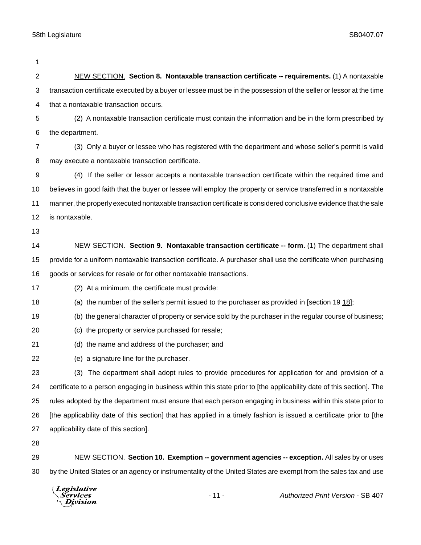| 1                       |                                                                                                                       |
|-------------------------|-----------------------------------------------------------------------------------------------------------------------|
| $\overline{\mathbf{c}}$ | NEW SECTION. Section 8. Nontaxable transaction certificate -- requirements. (1) A nontaxable                          |
| 3                       | transaction certificate executed by a buyer or lessee must be in the possession of the seller or lessor at the time   |
| 4                       | that a nontaxable transaction occurs.                                                                                 |
| 5                       | (2) A nontaxable transaction certificate must contain the information and be in the form prescribed by                |
| 6                       | the department.                                                                                                       |
| 7                       | (3) Only a buyer or lessee who has registered with the department and whose seller's permit is valid                  |
| 8                       | may execute a nontaxable transaction certificate.                                                                     |
| 9                       | (4) If the seller or lessor accepts a nontaxable transaction certificate within the required time and                 |
| 10                      | believes in good faith that the buyer or lessee will employ the property or service transferred in a nontaxable       |
| 11                      | manner, the properly executed nontaxable transaction certificate is considered conclusive evidence that the sale      |
| 12                      | is nontaxable.                                                                                                        |
| 13                      |                                                                                                                       |
| 14                      | NEW SECTION. Section 9. Nontaxable transaction certificate -- form. (1) The department shall                          |
| 15                      | provide for a uniform nontaxable transaction certificate. A purchaser shall use the certificate when purchasing       |
| 16                      | goods or services for resale or for other nontaxable transactions.                                                    |
| 17                      | (2) At a minimum, the certificate must provide:                                                                       |
| 18                      | (a) the number of the seller's permit issued to the purchaser as provided in [section $4918$ ];                       |
| 19                      | (b) the general character of property or service sold by the purchaser in the regular course of business;             |
| 20                      | (c) the property or service purchased for resale;                                                                     |
| 21                      | (d) the name and address of the purchaser; and                                                                        |
| 22                      | (e) a signature line for the purchaser.                                                                               |
| 23                      | (3) The department shall adopt rules to provide procedures for application for and provision of a                     |
| 24                      | certificate to a person engaging in business within this state prior to [the applicability date of this section]. The |
| 25                      | rules adopted by the department must ensure that each person engaging in business within this state prior to          |
| 26                      | [the applicability date of this section] that has applied in a timely fashion is issued a certificate prior to [the   |
| 27                      | applicability date of this section].                                                                                  |
| 28                      |                                                                                                                       |
| 29                      | NEW SECTION. Section 10. Exemption -- government agencies -- exception. All sales by or uses                          |
| 30                      | by the United States or an agency or instrumentality of the United States are exempt from the sales tax and use       |
|                         |                                                                                                                       |

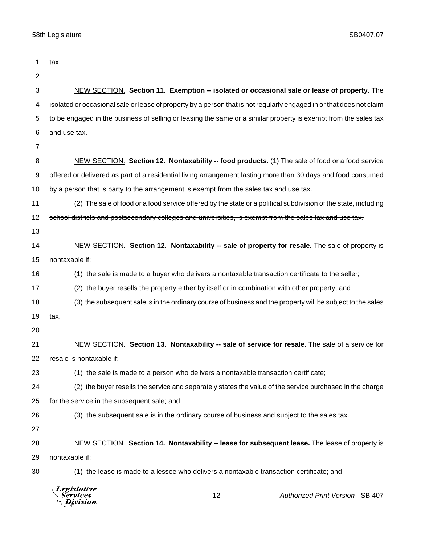| 1  | tax.                                                                                                                 |
|----|----------------------------------------------------------------------------------------------------------------------|
| 2  |                                                                                                                      |
| 3  | NEW SECTION. Section 11. Exemption -- isolated or occasional sale or lease of property. The                          |
| 4  | isolated or occasional sale or lease of property by a person that is not regularly engaged in or that does not claim |
| 5  | to be engaged in the business of selling or leasing the same or a similar property is exempt from the sales tax      |
| 6  | and use tax.                                                                                                         |
| 7  |                                                                                                                      |
| 8  | NEW SECTION. Section 12. Nontaxability -- food products. (1) The sale of food or a food service                      |
| 9  | offered or delivered as part of a residential living arrangement lasting more than 30 days and food consumed         |
| 10 | by a person that is party to the arrangement is exempt from the sales tax and use tax.                               |
| 11 | (2) The sale of food or a food service offered by the state or a political subdivision of the state, including       |
| 12 | school districts and postsecondary colleges and universities, is exempt from the sales tax and use tax.              |
| 13 |                                                                                                                      |
| 14 | NEW SECTION. Section 12. Nontaxability -- sale of property for resale. The sale of property is                       |
| 15 | nontaxable if:                                                                                                       |
| 16 | (1) the sale is made to a buyer who delivers a nontaxable transaction certificate to the seller;                     |
| 17 | (2) the buyer resells the property either by itself or in combination with other property; and                       |
| 18 | (3) the subsequent sale is in the ordinary course of business and the property will be subject to the sales          |
| 19 | tax.                                                                                                                 |
| 20 |                                                                                                                      |
| 21 | NEW SECTION. Section 13. Nontaxability -- sale of service for resale. The sale of a service for                      |
| 22 | resale is nontaxable if:                                                                                             |
| 23 | (1) the sale is made to a person who delivers a nontaxable transaction certificate;                                  |
| 24 | (2) the buyer resells the service and separately states the value of the service purchased in the charge             |
| 25 | for the service in the subsequent sale; and                                                                          |
| 26 | (3) the subsequent sale is in the ordinary course of business and subject to the sales tax.                          |
| 27 |                                                                                                                      |
| 28 | NEW SECTION. Section 14. Nontaxability -- lease for subsequent lease. The lease of property is                       |
| 29 | nontaxable if:                                                                                                       |
| 30 | (1) the lease is made to a lessee who delivers a nontaxable transaction certificate; and                             |
|    | Legislative<br>$-12-$<br>Authorized Print Version - SB 407<br>Services<br>Division                                   |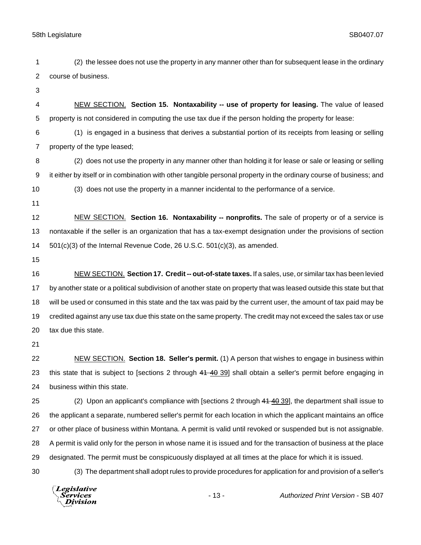(2) the lessee does not use the property in any manner other than for subsequent lease in the ordinary course of business. NEW SECTION. **Section 15. Nontaxability -- use of property for leasing.** The value of leased property is not considered in computing the use tax due if the person holding the property for lease: (1) is engaged in a business that derives a substantial portion of its receipts from leasing or selling property of the type leased; (2) does not use the property in any manner other than holding it for lease or sale or leasing or selling it either by itself or in combination with other tangible personal property in the ordinary course of business; and (3) does not use the property in a manner incidental to the performance of a service. NEW SECTION. **Section 16. Nontaxability -- nonprofits.** The sale of property or of a service is nontaxable if the seller is an organization that has a tax-exempt designation under the provisions of section 501(c)(3) of the Internal Revenue Code, 26 U.S.C. 501(c)(3), as amended. NEW SECTION. **Section 17. Credit -- out-of-state taxes.** If a sales, use, or similar tax has been levied by another state or a political subdivision of another state on property that was leased outside this state but that will be used or consumed in this state and the tax was paid by the current user, the amount of tax paid may be credited against any use tax due this state on the same property. The credit may not exceed the sales tax or use tax due this state. NEW SECTION. **Section 18. Seller's permit.** (1) A person that wishes to engage in business within 23 this state that is subject to [sections 2 through 41 40 39] shall obtain a seller's permit before engaging in business within this state. 25 (2) Upon an applicant's compliance with [sections 2 through 44 40 39], the department shall issue to the applicant a separate, numbered seller's permit for each location in which the applicant maintains an office or other place of business within Montana. A permit is valid until revoked or suspended but is not assignable. A permit is valid only for the person in whose name it is issued and for the transaction of business at the place designated. The permit must be conspicuously displayed at all times at the place for which it is issued. (3) The department shall adopt rules to provide procedures for application for and provision of a seller's**Legislative** *Services* - 13 - *Authorized Print Version* - SB 407 Division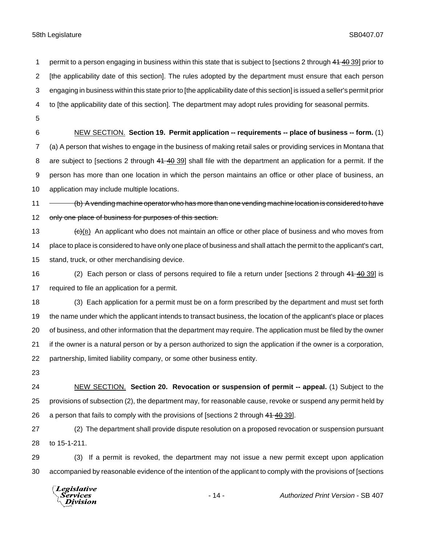1 permit to a person engaging in business within this state that is subject to [sections 2 through 41 40 39] prior to [the applicability date of this section]. The rules adopted by the department must ensure that each person engaging in business within this state prior to [the applicability date of this section] is issued a seller's permit prior to [the applicability date of this section]. The department may adopt rules providing for seasonal permits. NEW SECTION. **Section 19. Permit application -- requirements -- place of business -- form.** (1) (a) A person that wishes to engage in the business of making retail sales or providing services in Montana that 8 are subject to [sections 2 through 41 40 39] shall file with the department an application for a permit. If the person has more than one location in which the person maintains an office or other place of business, an application may include multiple locations. 11 (b) A vending machine operator who has more than one vending machine location is considered to have 12 only one place of business for purposes of this section. 13 (c)(B) An applicant who does not maintain an office or other place of business and who moves from place to place is considered to have only one place of business and shall attach the permit to the applicant's cart, stand, truck, or other merchandising device. 16 (2) Each person or class of persons required to file a return under [sections 2 through 41 40 39] is required to file an application for a permit. (3) Each application for a permit must be on a form prescribed by the department and must set forth the name under which the applicant intends to transact business, the location of the applicant's place or places 20 of business, and other information that the department may require. The application must be filed by the owner if the owner is a natural person or by a person authorized to sign the application if the owner is a corporation, partnership, limited liability company, or some other business entity. NEW SECTION. **Section 20. Revocation or suspension of permit -- appeal.** (1) Subject to the provisions of subsection (2), the department may, for reasonable cause, revoke or suspend any permit held by 26 a person that fails to comply with the provisions of [sections 2 through 41 40 39]. (2) The department shall provide dispute resolution on a proposed revocation or suspension pursuant to 15-1-211. (3) If a permit is revoked, the department may not issue a new permit except upon application accompanied by reasonable evidence of the intention of the applicant to comply with the provisions of [sections

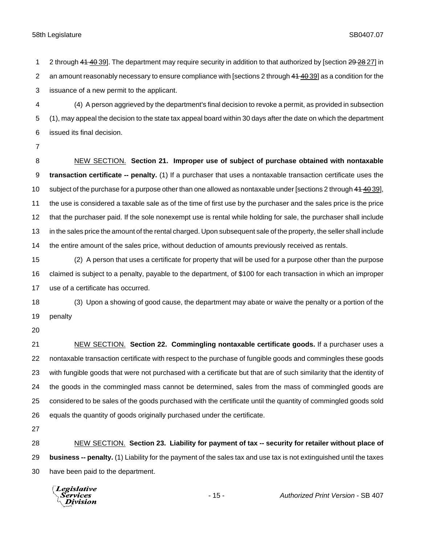2 through 41 40 39]. The department may require security in addition to that authorized by [section 29 28 27] in 2 an amount reasonably necessary to ensure compliance with [sections 2 through 41 40 39] as a condition for the issuance of a new permit to the applicant.

 (4) A person aggrieved by the department's final decision to revoke a permit, as provided in subsection (1), may appeal the decision to the state tax appeal board within 30 days after the date on which the department issued its final decision.

 NEW SECTION. **Section 21. Improper use of subject of purchase obtained with nontaxable transaction certificate -- penalty.** (1) If a purchaser that uses a nontaxable transaction certificate uses the 10 subject of the purchase for a purpose other than one allowed as nontaxable under [sections 2 through 44 40 39], the use is considered a taxable sale as of the time of first use by the purchaser and the sales price is the price that the purchaser paid. If the sole nonexempt use is rental while holding for sale, the purchaser shall include in the sales price the amount of the rental charged. Upon subsequent sale of the property, the seller shall include the entire amount of the sales price, without deduction of amounts previously received as rentals.

 (2) A person that uses a certificate for property that will be used for a purpose other than the purpose claimed is subject to a penalty, payable to the department, of \$100 for each transaction in which an improper use of a certificate has occurred.

 (3) Upon a showing of good cause, the department may abate or waive the penalty or a portion of the penalty

 NEW SECTION. **Section 22. Commingling nontaxable certificate goods.** If a purchaser uses a nontaxable transaction certificate with respect to the purchase of fungible goods and commingles these goods with fungible goods that were not purchased with a certificate but that are of such similarity that the identity of the goods in the commingled mass cannot be determined, sales from the mass of commingled goods are considered to be sales of the goods purchased with the certificate until the quantity of commingled goods sold equals the quantity of goods originally purchased under the certificate.

 NEW SECTION. **Section 23. Liability for payment of tax -- security for retailer without place of business -- penalty.** (1) Liability for the payment of the sales tax and use tax is not extinguished until the taxes have been paid to the department.

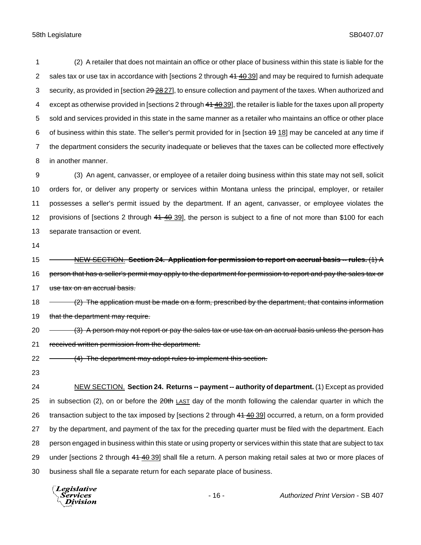(2) A retailer that does not maintain an office or other place of business within this state is liable for the 2 sales tax or use tax in accordance with [sections 2 through  $41\frac{40.39}{1}$  and may be required to furnish adequate 3 security, as provided in [section 29 28 27], to ensure collection and payment of the taxes. When authorized and 4 except as otherwise provided in [sections 2 through 41 40 39], the retailer is liable for the taxes upon all property sold and services provided in this state in the same manner as a retailer who maintains an office or other place of business within this state. The seller's permit provided for in [section 19 18] may be canceled at any time if the department considers the security inadequate or believes that the taxes can be collected more effectively in another manner.

 (3) An agent, canvasser, or employee of a retailer doing business within this state may not sell, solicit orders for, or deliver any property or services within Montana unless the principal, employer, or retailer possesses a seller's permit issued by the department. If an agent, canvasser, or employee violates the 12 provisions of [sections 2 through 41 40 39], the person is subject to a fine of not more than \$100 for each separate transaction or event.

14

15 NEW SECTION. **Section 24. Application for permission to report on accrual basis -- rules.** (1) A 16 person that has a seller's permit may apply to the department for permission to report and pay the sales tax or 17 use tax on an accrual basis.

18 - (2) The application must be made on a form, prescribed by the department, that contains information 19 that the department may require.

20 (3) A person may not report or pay the sales tax or use tax on an accrual basis unless the person has 21 received written permission from the department.

22 - (4) The department may adopt rules to implement this section.

23

24 NEW SECTION. **Section 24. Returns -- payment -- authority of department.** (1) Except as provided 25 in subsection (2), on or before the 20th LAST day of the month following the calendar quarter in which the 26 transaction subject to the tax imposed by [sections 2 through 41 40 39] occurred, a return, on a form provided 27 by the department, and payment of the tax for the preceding quarter must be filed with the department. Each 28 person engaged in business within this state or using property or services within this state that are subject to tax 29 under [sections 2 through 41 40 39] shall file a return. A person making retail sales at two or more places of 30 business shall file a separate return for each separate place of business.

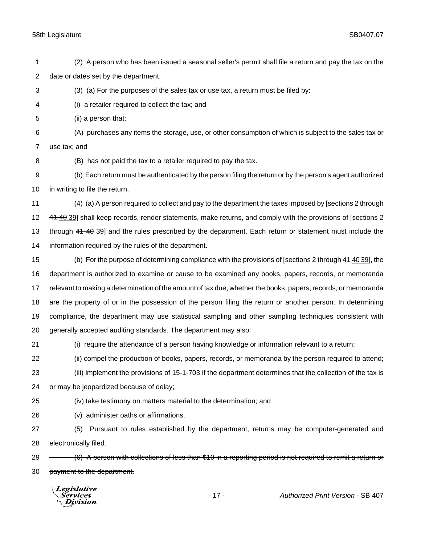(2) A person who has been issued a seasonal seller's permit shall file a return and pay the tax on the date or dates set by the department.

(3) (a) For the purposes of the sales tax or use tax, a return must be filed by:

(i) a retailer required to collect the tax; and

(ii) a person that:

 (A) purchases any items the storage, use, or other consumption of which is subject to the sales tax or use tax; and

(B) has not paid the tax to a retailer required to pay the tax.

 (b) Each return must be authenticated by the person filing the return or by the person's agent authorized in writing to file the return.

 (4) (a) A person required to collect and pay to the department the taxes imposed by [sections 2 through 12 41 40 39] shall keep records, render statements, make returns, and comply with the provisions of [sections 2 13 through 41 40 39] and the rules prescribed by the department. Each return or statement must include the information required by the rules of the department.

 (b) For the purpose of determining compliance with the provisions of [sections 2 through 41 40 39], the department is authorized to examine or cause to be examined any books, papers, records, or memoranda relevant to making a determination of the amount of tax due, whether the books, papers, records, or memoranda are the property of or in the possession of the person filing the return or another person. In determining compliance, the department may use statistical sampling and other sampling techniques consistent with generally accepted auditing standards. The department may also:

(i) require the attendance of a person having knowledge or information relevant to a return;

(ii) compel the production of books, papers, records, or memoranda by the person required to attend;

 (iii) implement the provisions of 15-1-703 if the department determines that the collection of the tax is or may be jeopardized because of delay;

(iv) take testimony on matters material to the determination; and

(v) administer oaths or affirmations.

 (5) Pursuant to rules established by the department, returns may be computer-generated and electronically filed.

29 (6) A person with collections of less than \$10 in a reporting period is not required to remit a return or 30 payment to the department.

**Legislative** *Services* **Division** 

- 17 - *Authorized Print Version* - SB 407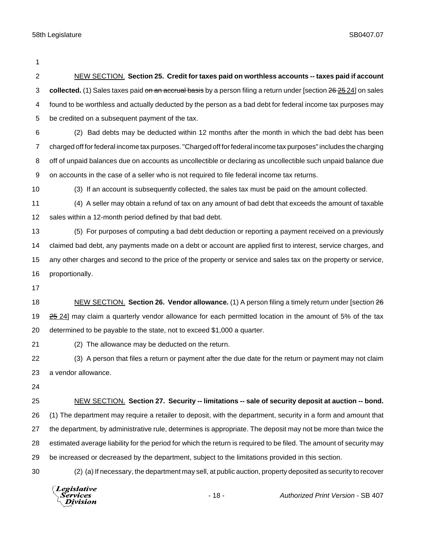| $\overline{2}$ | NEW SECTION. Section 25. Credit for taxes paid on worthless accounts -- taxes paid if account                       |
|----------------|---------------------------------------------------------------------------------------------------------------------|
| 3              | collected. (1) Sales taxes paid on an accrual basis by a person filing a return under [section 26 25 24] on sales   |
| 4              | found to be worthless and actually deducted by the person as a bad debt for federal income tax purposes may         |
| 5              | be credited on a subsequent payment of the tax.                                                                     |
| 6              | (2) Bad debts may be deducted within 12 months after the month in which the bad debt has been                       |
| $\overline{7}$ | charged off for federal income tax purposes. "Charged off for federal income tax purposes" includes the charging    |
| 8              | off of unpaid balances due on accounts as uncollectible or declaring as uncollectible such unpaid balance due       |
| 9              | on accounts in the case of a seller who is not required to file federal income tax returns.                         |
| 10             | (3) If an account is subsequently collected, the sales tax must be paid on the amount collected.                    |
| 11             | (4) A seller may obtain a refund of tax on any amount of bad debt that exceeds the amount of taxable                |
| 12             | sales within a 12-month period defined by that bad debt.                                                            |
| 13             | (5) For purposes of computing a bad debt deduction or reporting a payment received on a previously                  |
| 14             | claimed bad debt, any payments made on a debt or account are applied first to interest, service charges, and        |
| 15             | any other charges and second to the price of the property or service and sales tax on the property or service,      |
| 16             | proportionally.                                                                                                     |
| 17             |                                                                                                                     |
| 18             | NEW SECTION. Section 26. Vendor allowance. (1) A person filing a timely return under [section 26                    |
| 19             | 25 24] may claim a quarterly vendor allowance for each permitted location in the amount of 5% of the tax            |
| 20             | determined to be payable to the state, not to exceed \$1,000 a quarter.                                             |
| 21             | (2) The allowance may be deducted on the return.                                                                    |
| 22             | (3) A person that files a return or payment after the due date for the return or payment may not claim              |
| 23             | a vendor allowance.                                                                                                 |
| 24             |                                                                                                                     |
| 25             | NEW SECTION. Section 27. Security -- limitations -- sale of security deposit at auction -- bond.                    |
| 26             | (1) The department may require a retailer to deposit, with the department, security in a form and amount that       |
| 27             | the department, by administrative rule, determines is appropriate. The deposit may not be more than twice the       |
| 28             | estimated average liability for the period for which the return is required to be filed. The amount of security may |
| 29             | be increased or decreased by the department, subject to the limitations provided in this section.                   |
| 30             | (2) (a) If necessary, the department may sell, at public auction, property deposited as security to recover         |
|                | Legislative<br>$-18-$<br>Authorized Print Version - SB 407<br>Services<br>Division                                  |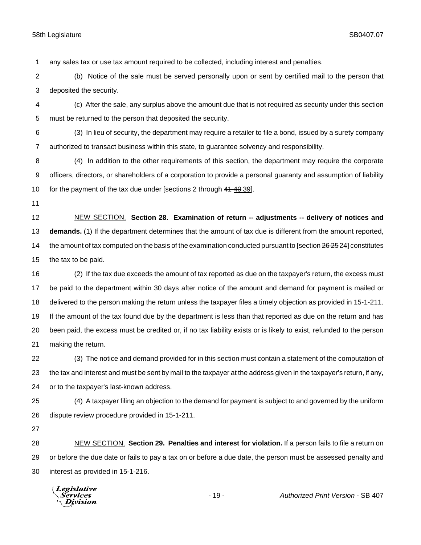any sales tax or use tax amount required to be collected, including interest and penalties.

 (b) Notice of the sale must be served personally upon or sent by certified mail to the person that deposited the security.

 (c) After the sale, any surplus above the amount due that is not required as security under this section must be returned to the person that deposited the security.

 (3) In lieu of security, the department may require a retailer to file a bond, issued by a surety company authorized to transact business within this state, to guarantee solvency and responsibility.

 (4) In addition to the other requirements of this section, the department may require the corporate officers, directors, or shareholders of a corporation to provide a personal guaranty and assumption of liability 10 for the payment of the tax due under [sections 2 through 41 40 39].

 NEW SECTION. **Section 28. Examination of return -- adjustments -- delivery of notices and demands.** (1) If the department determines that the amount of tax due is different from the amount reported, 14 the amount of tax computed on the basis of the examination conducted pursuant to [section 26 25 24] constitutes the tax to be paid.

 (2) If the tax due exceeds the amount of tax reported as due on the taxpayer's return, the excess must be paid to the department within 30 days after notice of the amount and demand for payment is mailed or delivered to the person making the return unless the taxpayer files a timely objection as provided in 15-1-211. If the amount of the tax found due by the department is less than that reported as due on the return and has been paid, the excess must be credited or, if no tax liability exists or is likely to exist, refunded to the person making the return.

 (3) The notice and demand provided for in this section must contain a statement of the computation of the tax and interest and must be sent by mail to the taxpayer at the address given in the taxpayer's return, if any, or to the taxpayer's last-known address.

 (4) A taxpayer filing an objection to the demand for payment is subject to and governed by the uniform dispute review procedure provided in 15-1-211.

 NEW SECTION. **Section 29. Penalties and interest for violation.** If a person fails to file a return on or before the due date or fails to pay a tax on or before a due date, the person must be assessed penalty and interest as provided in 15-1-216.

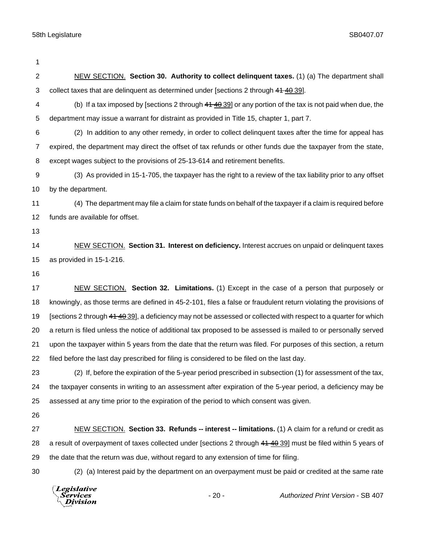| 1                |                                                                                                                   |
|------------------|-------------------------------------------------------------------------------------------------------------------|
| $\boldsymbol{2}$ | NEW SECTION. Section 30. Authority to collect delinquent taxes. (1) (a) The department shall                      |
| 3                | collect taxes that are delinquent as determined under [sections 2 through 41 40 39].                              |
| 4                | (b) If a tax imposed by [sections 2 through 44 40 39] or any portion of the tax is not paid when due, the         |
| 5                | department may issue a warrant for distraint as provided in Title 15, chapter 1, part 7.                          |
| 6                | (2) In addition to any other remedy, in order to collect delinguent taxes after the time for appeal has           |
| $\overline{7}$   | expired, the department may direct the offset of tax refunds or other funds due the taxpayer from the state,      |
| 8                | except wages subject to the provisions of 25-13-614 and retirement benefits.                                      |
| 9                | (3) As provided in 15-1-705, the taxpayer has the right to a review of the tax liability prior to any offset      |
| 10               | by the department.                                                                                                |
| 11               | (4) The department may file a claim for state funds on behalf of the taxpayer if a claim is required before       |
| 12               | funds are available for offset.                                                                                   |
| 13               |                                                                                                                   |
| 14               | NEW SECTION. Section 31. Interest on deficiency. Interest accrues on unpaid or delinquent taxes                   |
| 15               | as provided in 15-1-216.                                                                                          |
| 16               |                                                                                                                   |
| 17               | NEW SECTION. Section 32. Limitations. (1) Except in the case of a person that purposely or                        |
| 18               | knowingly, as those terms are defined in 45-2-101, files a false or fraudulent return violating the provisions of |
| 19               | [sections 2 through 41 40 39], a deficiency may not be assessed or collected with respect to a quarter for which  |
| 20               | a return is filed unless the notice of additional tax proposed to be assessed is mailed to or personally served   |
| 21               | upon the taxpayer within 5 years from the date that the return was filed. For purposes of this section, a return  |
| 22               | filed before the last day prescribed for filing is considered to be filed on the last day.                        |
| 23               | (2) If, before the expiration of the 5-year period prescribed in subsection (1) for assessment of the tax,        |
| 24               | the taxpayer consents in writing to an assessment after expiration of the 5-year period, a deficiency may be      |
| 25               | assessed at any time prior to the expiration of the period to which consent was given.                            |
| 26               |                                                                                                                   |
| 27               | NEW SECTION. Section 33. Refunds -- interest -- limitations. (1) A claim for a refund or credit as                |
| 28               | a result of overpayment of taxes collected under [sections 2 through 41 40 39] must be filed within 5 years of    |
| 29               | the date that the return was due, without regard to any extension of time for filing.                             |
| 30               | (2) (a) Interest paid by the department on an overpayment must be paid or credited at the same rate               |
|                  | Legislative<br>$-20-$<br>Authorized Print Version - SB 407<br>Services<br>Division                                |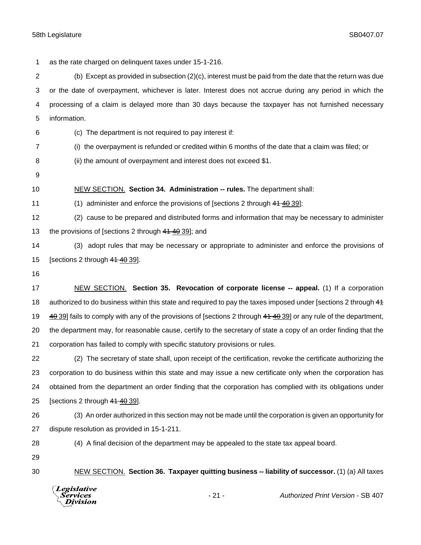as the rate charged on delinquent taxes under 15-1-216.

 (b) Except as provided in subsection (2)(c), interest must be paid from the date that the return was due or the date of overpayment, whichever is later. Interest does not accrue during any period in which the processing of a claim is delayed more than 30 days because the taxpayer has not furnished necessary information.

- (c) The department is not required to pay interest if:
- (i) the overpayment is refunded or credited within 6 months of the date that a claim was filed; or
- (ii) the amount of overpayment and interest does not exceed \$1.
- 
- 
- NEW SECTION. **Section 34. Administration -- rules.** The department shall:
- (1) administer and enforce the provisions of [sections 2 through 41 40 39];

 (2) cause to be prepared and distributed forms and information that may be necessary to administer 13 the provisions of [sections 2 through 41 40 39]; and

- (3) adopt rules that may be necessary or appropriate to administer and enforce the provisions of [sections 2 through 41 40 39].
- 

 NEW SECTION. **Section 35. Revocation of corporate license -- appeal.** (1) If a corporation 18 authorized to do business within this state and required to pay the taxes imposed under [sections 2 through 44 19 40 39] fails to comply with any of the provisions of [sections 2 through 44 40 39] or any rule of the department, the department may, for reasonable cause, certify to the secretary of state a copy of an order finding that the corporation has failed to comply with specific statutory provisions or rules.

 (2) The secretary of state shall, upon receipt of the certification, revoke the certificate authorizing the corporation to do business within this state and may issue a new certificate only when the corporation has obtained from the department an order finding that the corporation has complied with its obligations under [sections 2 through 41 40 39].

- (3) An order authorized in this section may not be made until the corporation is given an opportunity for dispute resolution as provided in 15-1-211.
- 

(4) A final decision of the department may be appealed to the state tax appeal board.

- 
- 

NEW SECTION. **Section 36. Taxpayer quitting business -- liability of successor.** (1) (a) All taxes

| $\setminus$ <i>Legislative</i> |
|--------------------------------|
| Services<br>∖ Division         |
|                                |

- 21 - *Authorized Print Version* - SB 407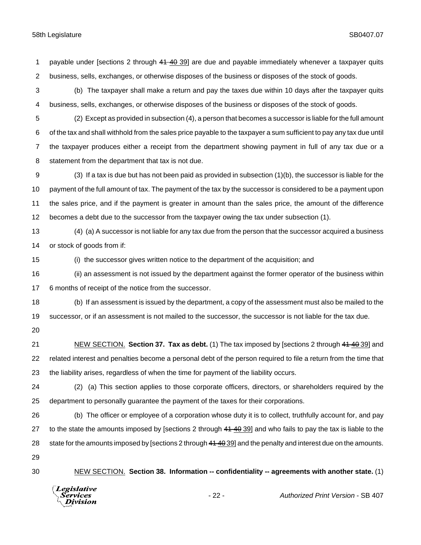payable under [sections 2 through 41 40 39] are due and payable immediately whenever a taxpayer quits business, sells, exchanges, or otherwise disposes of the business or disposes of the stock of goods.

 (b) The taxpayer shall make a return and pay the taxes due within 10 days after the taxpayer quits business, sells, exchanges, or otherwise disposes of the business or disposes of the stock of goods.

- (2) Except as provided in subsection (4), a person that becomes a successor is liable for the full amount of the tax and shall withhold from the sales price payable to the taxpayer a sum sufficient to pay any tax due until the taxpayer produces either a receipt from the department showing payment in full of any tax due or a statement from the department that tax is not due.
- (3) If a tax is due but has not been paid as provided in subsection (1)(b), the successor is liable for the payment of the full amount of tax. The payment of the tax by the successor is considered to be a payment upon the sales price, and if the payment is greater in amount than the sales price, the amount of the difference becomes a debt due to the successor from the taxpayer owing the tax under subsection (1).
- (4) (a) A successor is not liable for any tax due from the person that the successor acquired a business or stock of goods from if:
- (i) the successor gives written notice to the department of the acquisition; and
- (ii) an assessment is not issued by the department against the former operator of the business within 6 months of receipt of the notice from the successor.
- (b) If an assessment is issued by the department, a copy of the assessment must also be mailed to the successor, or if an assessment is not mailed to the successor, the successor is not liable for the tax due.
- 

 NEW SECTION. **Section 37. Tax as debt.** (1) The tax imposed by [sections 2 through 41 40 39] and related interest and penalties become a personal debt of the person required to file a return from the time that the liability arises, regardless of when the time for payment of the liability occurs.

- (2) (a) This section applies to those corporate officers, directors, or shareholders required by the department to personally guarantee the payment of the taxes for their corporations.
- (b) The officer or employee of a corporation whose duty it is to collect, truthfully account for, and pay 27 to the state the amounts imposed by [sections 2 through 44 40 39] and who fails to pay the tax is liable to the 28 state for the amounts imposed by [sections 2 through 41 40 39] and the penalty and interest due on the amounts.
- 
- 

NEW SECTION. **Section 38. Information -- confidentiality -- agreements with another state.** (1)

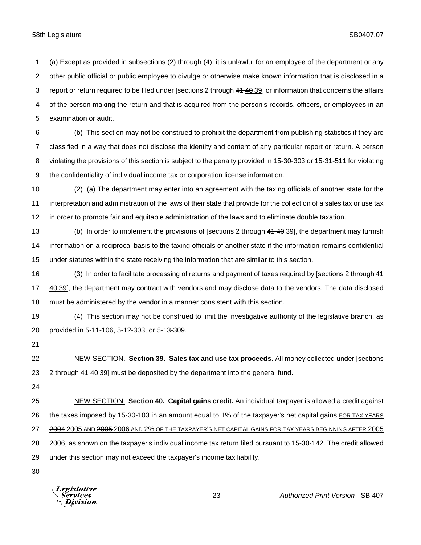(a) Except as provided in subsections (2) through (4), it is unlawful for an employee of the department or any other public official or public employee to divulge or otherwise make known information that is disclosed in a 3 report or return required to be filed under [sections 2 through 41 40 39] or information that concerns the affairs of the person making the return and that is acquired from the person's records, officers, or employees in an examination or audit.

 (b) This section may not be construed to prohibit the department from publishing statistics if they are classified in a way that does not disclose the identity and content of any particular report or return. A person violating the provisions of this section is subject to the penalty provided in 15-30-303 or 15-31-511 for violating the confidentiality of individual income tax or corporation license information.

 (2) (a) The department may enter into an agreement with the taxing officials of another state for the interpretation and administration of the laws of their state that provide for the collection of a sales tax or use tax in order to promote fair and equitable administration of the laws and to eliminate double taxation.

13 (b) In order to implement the provisions of [sections 2 through 41 40 39], the department may furnish information on a reciprocal basis to the taxing officials of another state if the information remains confidential under statutes within the state receiving the information that are similar to this section.

16 (3) In order to facilitate processing of returns and payment of taxes required by [sections 2 through 44 17 40 39], the department may contract with vendors and may disclose data to the vendors. The data disclosed must be administered by the vendor in a manner consistent with this section.

 (4) This section may not be construed to limit the investigative authority of the legislative branch, as provided in 5-11-106, 5-12-303, or 5-13-309.

 NEW SECTION. **Section 39. Sales tax and use tax proceeds.** All money collected under [sections 23 2 through 41 40 39] must be deposited by the department into the general fund.

 NEW SECTION. **Section 40. Capital gains credit.** An individual taxpayer is allowed a credit against 26 the taxes imposed by 15-30-103 in an amount equal to 1% of the taxpayer's net capital gains FOR TAX YEARS 27 2004 2005 AND 2005 AND 2% OF THE TAXPAYER'S NET CAPITAL GAINS FOR TAX YEARS BEGINNING AFTER 2005 2006, as shown on the taxpayer's individual income tax return filed pursuant to 15-30-142. The credit allowed under this section may not exceed the taxpayer's income tax liability.

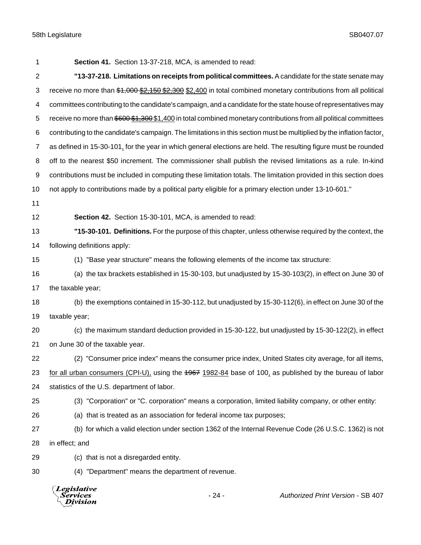| 1              | Section 41. Section 13-37-218, MCA, is amended to read:                                                               |
|----------------|-----------------------------------------------------------------------------------------------------------------------|
| $\overline{2}$ | "13-37-218. Limitations on receipts from political committees. A candidate for the state senate may                   |
| 3              | receive no more than \$1,000 \$2,150 \$2,300 \$2,400 in total combined monetary contributions from all political      |
| 4              | committees contributing to the candidate's campaign, and a candidate for the state house of representatives may       |
| 5              | receive no more than \$600 \$1,300 \$1,400 in total combined monetary contributions from all political committees     |
| 6              | contributing to the candidate's campaign. The limitations in this section must be multiplied by the inflation factor, |
| $\overline{7}$ | as defined in 15-30-101, for the year in which general elections are held. The resulting figure must be rounded       |
| 8              | off to the nearest \$50 increment. The commissioner shall publish the revised limitations as a rule. In-kind          |
| 9              | contributions must be included in computing these limitation totals. The limitation provided in this section does     |
| 10             | not apply to contributions made by a political party eligible for a primary election under 13-10-601."                |
| 11             |                                                                                                                       |
| 12             | Section 42. Section 15-30-101, MCA, is amended to read:                                                               |
| 13             | "15-30-101. Definitions. For the purpose of this chapter, unless otherwise required by the context, the               |
| 14             | following definitions apply:                                                                                          |
| 15             | (1) "Base year structure" means the following elements of the income tax structure:                                   |
| 16             | (a) the tax brackets established in 15-30-103, but unadjusted by 15-30-103(2), in effect on June 30 of                |
| 17             | the taxable year;                                                                                                     |
| 18             | (b) the exemptions contained in 15-30-112, but unadjusted by 15-30-112(6), in effect on June 30 of the                |
| 19             | taxable year;                                                                                                         |
| 20             | (c) the maximum standard deduction provided in 15-30-122, but unadjusted by 15-30-122(2), in effect                   |
| 21             | on June 30 of the taxable year.                                                                                       |
| 22             | (2) "Consumer price index" means the consumer price index, United States city average, for all items,                 |
| 23             | for all urban consumers (CPI-U), using the 4967 1982-84 base of 100, as published by the bureau of labor              |
| 24             | statistics of the U.S. department of labor.                                                                           |
| 25             | (3) "Corporation" or "C. corporation" means a corporation, limited liability company, or other entity:                |
| 26             | (a) that is treated as an association for federal income tax purposes;                                                |
| 27             | (b) for which a valid election under section 1362 of the Internal Revenue Code (26 U.S.C. 1362) is not                |
| 28             | in effect; and                                                                                                        |
| 29             | (c) that is not a disregarded entity.                                                                                 |
| 30             | (4) "Department" means the department of revenue.                                                                     |

| <b>Authorized Print Version - SB 407</b> |
|------------------------------------------|
|                                          |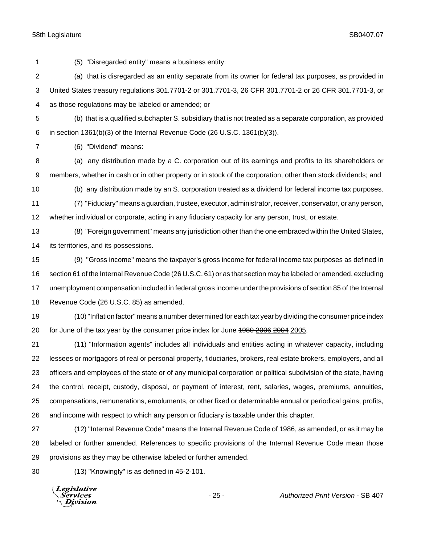(5) "Disregarded entity" means a business entity: (a) that is disregarded as an entity separate from its owner for federal tax purposes, as provided in United States treasury regulations 301.7701-2 or 301.7701-3, 26 CFR 301.7701-2 or 26 CFR 301.7701-3, or as those regulations may be labeled or amended; or (b) that is a qualified subchapter S. subsidiary that is not treated as a separate corporation, as provided in section 1361(b)(3) of the Internal Revenue Code (26 U.S.C. 1361(b)(3)). (6) "Dividend" means: (a) any distribution made by a C. corporation out of its earnings and profits to its shareholders or members, whether in cash or in other property or in stock of the corporation, other than stock dividends; and (b) any distribution made by an S. corporation treated as a dividend for federal income tax purposes. (7) "Fiduciary" means a guardian, trustee, executor, administrator, receiver, conservator, or any person, whether individual or corporate, acting in any fiduciary capacity for any person, trust, or estate. (8) "Foreign government" means any jurisdiction other than the one embraced within the United States, its territories, and its possessions. (9) "Gross income" means the taxpayer's gross income for federal income tax purposes as defined in section 61 of the Internal Revenue Code (26 U.S.C. 61) or as that section may be labeled or amended, excluding unemployment compensation included in federal gross income under the provisions of section 85 of the Internal Revenue Code (26 U.S.C. 85) as amended. (10)"Inflation factor" means a number determined for each tax year by dividing the consumer price index 20 for June of the tax year by the consumer price index for June  $1980,2006,2004,2005$ . (11) "Information agents" includes all individuals and entities acting in whatever capacity, including lessees or mortgagors of real or personal property, fiduciaries, brokers, real estate brokers, employers, and all officers and employees of the state or of any municipal corporation or political subdivision of the state, having the control, receipt, custody, disposal, or payment of interest, rent, salaries, wages, premiums, annuities, compensations, remunerations, emoluments, or other fixed or determinable annual or periodical gains, profits, and income with respect to which any person or fiduciary is taxable under this chapter.

 (12) "Internal Revenue Code" means the Internal Revenue Code of 1986, as amended, or as it may be labeled or further amended. References to specific provisions of the Internal Revenue Code mean those provisions as they may be otherwise labeled or further amended.

(13) "Knowingly" is as defined in 45-2-101.

**Legislative** *Services* Division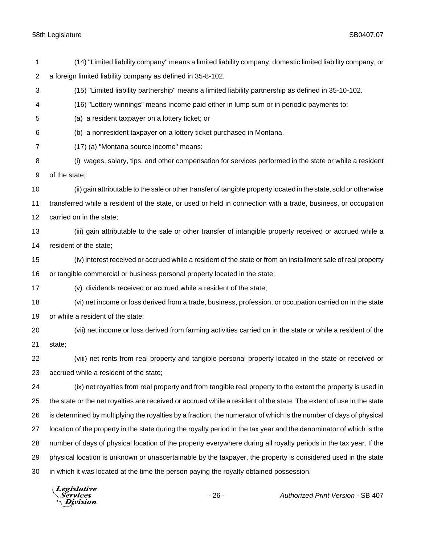| 1              | (14) "Limited liability company" means a limited liability company, domestic limited liability company, or           |
|----------------|----------------------------------------------------------------------------------------------------------------------|
| $\overline{2}$ | a foreign limited liability company as defined in 35-8-102.                                                          |
| 3              | (15) "Limited liability partnership" means a limited liability partnership as defined in 35-10-102.                  |
| 4              | (16) "Lottery winnings" means income paid either in lump sum or in periodic payments to:                             |
| 5              | (a) a resident taxpayer on a lottery ticket; or                                                                      |
| 6              | (b) a nonresident taxpayer on a lottery ticket purchased in Montana.                                                 |
| 7              | (17) (a) "Montana source income" means:                                                                              |
| 8              | (i) wages, salary, tips, and other compensation for services performed in the state or while a resident              |
| 9              | of the state;                                                                                                        |
| 10             | (ii) gain attributable to the sale or other transfer of tangible property located in the state, sold or otherwise    |
| 11             | transferred while a resident of the state, or used or held in connection with a trade, business, or occupation       |
| 12             | carried on in the state;                                                                                             |
| 13             | (iii) gain attributable to the sale or other transfer of intangible property received or accrued while a             |
| 14             | resident of the state;                                                                                               |
| 15             | (iv) interest received or accrued while a resident of the state or from an installment sale of real property         |
| 16             | or tangible commercial or business personal property located in the state;                                           |
| 17             | (v) dividends received or accrued while a resident of the state;                                                     |
| 18             | (vi) net income or loss derived from a trade, business, profession, or occupation carried on in the state            |
| 19             | or while a resident of the state;                                                                                    |
| 20             | (vii) net income or loss derived from farming activities carried on in the state or while a resident of the          |
| 21             | state;                                                                                                               |
| 22             | (viii) net rents from real property and tangible personal property located in the state or received or               |
| 23             | accrued while a resident of the state;                                                                               |
| 24             | (ix) net royalties from real property and from tangible real property to the extent the property is used in          |
| 25             | the state or the net royalties are received or accrued while a resident of the state. The extent of use in the state |
| 26             | is determined by multiplying the royalties by a fraction, the numerator of which is the number of days of physical   |
| 27             | location of the property in the state during the royalty period in the tax year and the denominator of which is the  |
| 28             | number of days of physical location of the property everywhere during all royalty periods in the tax year. If the    |
| 29             | physical location is unknown or unascertainable by the taxpayer, the property is considered used in the state        |
| 30             | in which it was located at the time the person paying the royalty obtained possession.                               |
|                | <i>Legislative</i>                                                                                                   |

Services<br>Bervices<br>Division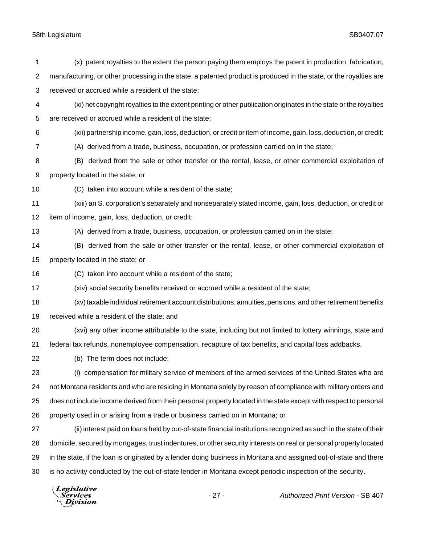| property located in the state; or<br>(C) taken into account while a resident of the state;<br>received while a resident of the state; and<br>(b) The term does not include:<br>property used in or arising from a trade or business carried on in Montana; or | (A) derived from a trade, business, occupation, or profession carried on in the state;<br>(B) derived from the sale or other transfer or the rental, lease, or other commercial exploitation of<br>(xiv) social security benefits received or accrued while a resident of the state;<br>(xv) taxable individual retirement account distributions, annuities, pensions, and other retirement benefits<br>(xvi) any other income attributable to the state, including but not limited to lottery winnings, state and<br>federal tax refunds, nonemployee compensation, recapture of tax benefits, and capital loss addbacks.<br>(i) compensation for military service of members of the armed services of the United States who are<br>not Montana residents and who are residing in Montana solely by reason of compliance with military orders and<br>does not include income derived from their personal property located in the state except with respect to personal<br>(ii) interest paid on loans held by out-of-state financial institutions recognized as such in the state of their<br>domicile, secured by mortgages, trust indentures, or other security interests on real or personal property located<br>in the state, if the loan is originated by a lender doing business in Montana and assigned out-of-state and there<br>is no activity conducted by the out-of-state lender in Montana except periodic inspection of the security. |
|---------------------------------------------------------------------------------------------------------------------------------------------------------------------------------------------------------------------------------------------------------------|------------------------------------------------------------------------------------------------------------------------------------------------------------------------------------------------------------------------------------------------------------------------------------------------------------------------------------------------------------------------------------------------------------------------------------------------------------------------------------------------------------------------------------------------------------------------------------------------------------------------------------------------------------------------------------------------------------------------------------------------------------------------------------------------------------------------------------------------------------------------------------------------------------------------------------------------------------------------------------------------------------------------------------------------------------------------------------------------------------------------------------------------------------------------------------------------------------------------------------------------------------------------------------------------------------------------------------------------------------------------------------------------------------------------------------------------------|
|                                                                                                                                                                                                                                                               |                                                                                                                                                                                                                                                                                                                                                                                                                                                                                                                                                                                                                                                                                                                                                                                                                                                                                                                                                                                                                                                                                                                                                                                                                                                                                                                                                                                                                                                      |
|                                                                                                                                                                                                                                                               |                                                                                                                                                                                                                                                                                                                                                                                                                                                                                                                                                                                                                                                                                                                                                                                                                                                                                                                                                                                                                                                                                                                                                                                                                                                                                                                                                                                                                                                      |
|                                                                                                                                                                                                                                                               |                                                                                                                                                                                                                                                                                                                                                                                                                                                                                                                                                                                                                                                                                                                                                                                                                                                                                                                                                                                                                                                                                                                                                                                                                                                                                                                                                                                                                                                      |
|                                                                                                                                                                                                                                                               |                                                                                                                                                                                                                                                                                                                                                                                                                                                                                                                                                                                                                                                                                                                                                                                                                                                                                                                                                                                                                                                                                                                                                                                                                                                                                                                                                                                                                                                      |
|                                                                                                                                                                                                                                                               |                                                                                                                                                                                                                                                                                                                                                                                                                                                                                                                                                                                                                                                                                                                                                                                                                                                                                                                                                                                                                                                                                                                                                                                                                                                                                                                                                                                                                                                      |
|                                                                                                                                                                                                                                                               |                                                                                                                                                                                                                                                                                                                                                                                                                                                                                                                                                                                                                                                                                                                                                                                                                                                                                                                                                                                                                                                                                                                                                                                                                                                                                                                                                                                                                                                      |
|                                                                                                                                                                                                                                                               |                                                                                                                                                                                                                                                                                                                                                                                                                                                                                                                                                                                                                                                                                                                                                                                                                                                                                                                                                                                                                                                                                                                                                                                                                                                                                                                                                                                                                                                      |
|                                                                                                                                                                                                                                                               |                                                                                                                                                                                                                                                                                                                                                                                                                                                                                                                                                                                                                                                                                                                                                                                                                                                                                                                                                                                                                                                                                                                                                                                                                                                                                                                                                                                                                                                      |
|                                                                                                                                                                                                                                                               |                                                                                                                                                                                                                                                                                                                                                                                                                                                                                                                                                                                                                                                                                                                                                                                                                                                                                                                                                                                                                                                                                                                                                                                                                                                                                                                                                                                                                                                      |
|                                                                                                                                                                                                                                                               |                                                                                                                                                                                                                                                                                                                                                                                                                                                                                                                                                                                                                                                                                                                                                                                                                                                                                                                                                                                                                                                                                                                                                                                                                                                                                                                                                                                                                                                      |
|                                                                                                                                                                                                                                                               |                                                                                                                                                                                                                                                                                                                                                                                                                                                                                                                                                                                                                                                                                                                                                                                                                                                                                                                                                                                                                                                                                                                                                                                                                                                                                                                                                                                                                                                      |
|                                                                                                                                                                                                                                                               |                                                                                                                                                                                                                                                                                                                                                                                                                                                                                                                                                                                                                                                                                                                                                                                                                                                                                                                                                                                                                                                                                                                                                                                                                                                                                                                                                                                                                                                      |
|                                                                                                                                                                                                                                                               |                                                                                                                                                                                                                                                                                                                                                                                                                                                                                                                                                                                                                                                                                                                                                                                                                                                                                                                                                                                                                                                                                                                                                                                                                                                                                                                                                                                                                                                      |
|                                                                                                                                                                                                                                                               |                                                                                                                                                                                                                                                                                                                                                                                                                                                                                                                                                                                                                                                                                                                                                                                                                                                                                                                                                                                                                                                                                                                                                                                                                                                                                                                                                                                                                                                      |
|                                                                                                                                                                                                                                                               |                                                                                                                                                                                                                                                                                                                                                                                                                                                                                                                                                                                                                                                                                                                                                                                                                                                                                                                                                                                                                                                                                                                                                                                                                                                                                                                                                                                                                                                      |
|                                                                                                                                                                                                                                                               |                                                                                                                                                                                                                                                                                                                                                                                                                                                                                                                                                                                                                                                                                                                                                                                                                                                                                                                                                                                                                                                                                                                                                                                                                                                                                                                                                                                                                                                      |
|                                                                                                                                                                                                                                                               |                                                                                                                                                                                                                                                                                                                                                                                                                                                                                                                                                                                                                                                                                                                                                                                                                                                                                                                                                                                                                                                                                                                                                                                                                                                                                                                                                                                                                                                      |
|                                                                                                                                                                                                                                                               |                                                                                                                                                                                                                                                                                                                                                                                                                                                                                                                                                                                                                                                                                                                                                                                                                                                                                                                                                                                                                                                                                                                                                                                                                                                                                                                                                                                                                                                      |
| item of income, gain, loss, deduction, or credit:                                                                                                                                                                                                             |                                                                                                                                                                                                                                                                                                                                                                                                                                                                                                                                                                                                                                                                                                                                                                                                                                                                                                                                                                                                                                                                                                                                                                                                                                                                                                                                                                                                                                                      |
|                                                                                                                                                                                                                                                               | (xiii) an S. corporation's separately and nonseparately stated income, gain, loss, deduction, or credit or                                                                                                                                                                                                                                                                                                                                                                                                                                                                                                                                                                                                                                                                                                                                                                                                                                                                                                                                                                                                                                                                                                                                                                                                                                                                                                                                           |
| (C) taken into account while a resident of the state;                                                                                                                                                                                                         |                                                                                                                                                                                                                                                                                                                                                                                                                                                                                                                                                                                                                                                                                                                                                                                                                                                                                                                                                                                                                                                                                                                                                                                                                                                                                                                                                                                                                                                      |
| property located in the state; or                                                                                                                                                                                                                             |                                                                                                                                                                                                                                                                                                                                                                                                                                                                                                                                                                                                                                                                                                                                                                                                                                                                                                                                                                                                                                                                                                                                                                                                                                                                                                                                                                                                                                                      |
|                                                                                                                                                                                                                                                               | (B) derived from the sale or other transfer or the rental, lease, or other commercial exploitation of                                                                                                                                                                                                                                                                                                                                                                                                                                                                                                                                                                                                                                                                                                                                                                                                                                                                                                                                                                                                                                                                                                                                                                                                                                                                                                                                                |
|                                                                                                                                                                                                                                                               | (A) derived from a trade, business, occupation, or profession carried on in the state;                                                                                                                                                                                                                                                                                                                                                                                                                                                                                                                                                                                                                                                                                                                                                                                                                                                                                                                                                                                                                                                                                                                                                                                                                                                                                                                                                               |
|                                                                                                                                                                                                                                                               | (xii) partnership income, gain, loss, deduction, or credit or item of income, gain, loss, deduction, or credit:                                                                                                                                                                                                                                                                                                                                                                                                                                                                                                                                                                                                                                                                                                                                                                                                                                                                                                                                                                                                                                                                                                                                                                                                                                                                                                                                      |
|                                                                                                                                                                                                                                                               |                                                                                                                                                                                                                                                                                                                                                                                                                                                                                                                                                                                                                                                                                                                                                                                                                                                                                                                                                                                                                                                                                                                                                                                                                                                                                                                                                                                                                                                      |
|                                                                                                                                                                                                                                                               |                                                                                                                                                                                                                                                                                                                                                                                                                                                                                                                                                                                                                                                                                                                                                                                                                                                                                                                                                                                                                                                                                                                                                                                                                                                                                                                                                                                                                                                      |
| (xi) net copyright royalties to the extent printing or other publication originates in the state or the royalties                                                                                                                                             |                                                                                                                                                                                                                                                                                                                                                                                                                                                                                                                                                                                                                                                                                                                                                                                                                                                                                                                                                                                                                                                                                                                                                                                                                                                                                                                                                                                                                                                      |
| received or accrued while a resident of the state;                                                                                                                                                                                                            | manufacturing, or other processing in the state, a patented product is produced in the state, or the royalties are                                                                                                                                                                                                                                                                                                                                                                                                                                                                                                                                                                                                                                                                                                                                                                                                                                                                                                                                                                                                                                                                                                                                                                                                                                                                                                                                   |
|                                                                                                                                                                                                                                                               | are received or accrued while a resident of the state;                                                                                                                                                                                                                                                                                                                                                                                                                                                                                                                                                                                                                                                                                                                                                                                                                                                                                                                                                                                                                                                                                                                                                                                                                                                                                                                                                                                               |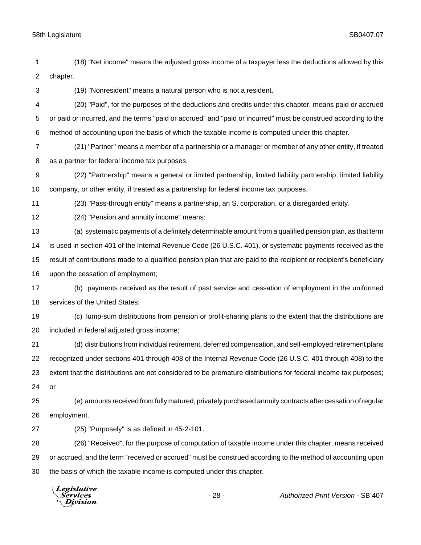| (18) "Net income" means the adjusted gross income of a taxpayer less the deductions allowed by this |
|-----------------------------------------------------------------------------------------------------|
| chapter.                                                                                            |

(19) "Nonresident" means a natural person who is not a resident.

 (20) "Paid", for the purposes of the deductions and credits under this chapter, means paid or accrued or paid or incurred, and the terms "paid or accrued" and "paid or incurred" must be construed according to the method of accounting upon the basis of which the taxable income is computed under this chapter.

 (21) "Partner" means a member of a partnership or a manager or member of any other entity, if treated as a partner for federal income tax purposes.

 (22) "Partnership" means a general or limited partnership, limited liability partnership, limited liability company, or other entity, if treated as a partnership for federal income tax purposes.

(23) "Pass-through entity" means a partnership, an S. corporation, or a disregarded entity.

(24) "Pension and annuity income" means:

 (a) systematic payments of a definitely determinable amount from a qualified pension plan, as that term is used in section 401 of the Internal Revenue Code (26 U.S.C. 401), or systematic payments received as the result of contributions made to a qualified pension plan that are paid to the recipient or recipient's beneficiary upon the cessation of employment;

 (b) payments received as the result of past service and cessation of employment in the uniformed services of the United States;

 (c) lump-sum distributions from pension or profit-sharing plans to the extent that the distributions are included in federal adjusted gross income;

 (d) distributions from individual retirement, deferred compensation, and self-employed retirement plans recognized under sections 401 through 408 of the Internal Revenue Code (26 U.S.C. 401 through 408) to the extent that the distributions are not considered to be premature distributions for federal income tax purposes; or

 (e) amounts received from fully matured, privately purchased annuity contracts after cessation of regular employment.

(25) "Purposely" is as defined in 45-2-101.

 (26) "Received", for the purpose of computation of taxable income under this chapter, means received or accrued, and the term "received or accrued" must be construed according to the method of accounting upon the basis of which the taxable income is computed under this chapter.

**Legislative** *Services* Division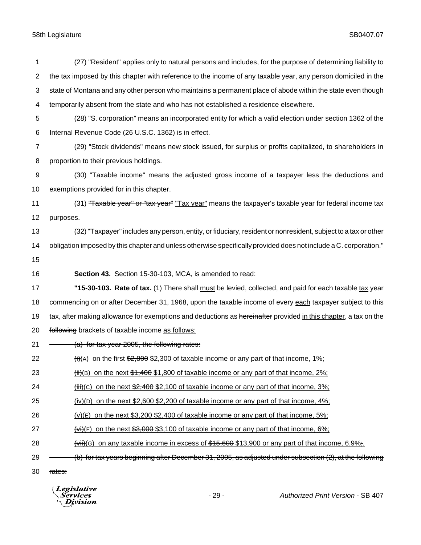| 1              | (27) "Resident" applies only to natural persons and includes, for the purpose of determining liability to           |
|----------------|---------------------------------------------------------------------------------------------------------------------|
| $\overline{2}$ | the tax imposed by this chapter with reference to the income of any taxable year, any person domiciled in the       |
| 3              | state of Montana and any other person who maintains a permanent place of abode within the state even though         |
| 4              | temporarily absent from the state and who has not established a residence elsewhere.                                |
| 5              | (28) "S. corporation" means an incorporated entity for which a valid election under section 1362 of the             |
| 6              | Internal Revenue Code (26 U.S.C. 1362) is in effect.                                                                |
| $\overline{7}$ | (29) "Stock dividends" means new stock issued, for surplus or profits capitalized, to shareholders in               |
| 8              | proportion to their previous holdings.                                                                              |
| 9              | (30) "Taxable income" means the adjusted gross income of a taxpayer less the deductions and                         |
| 10             | exemptions provided for in this chapter.                                                                            |
| 11             | (31) "Taxable year" or "tax year" "Tax year" means the taxpayer's taxable year for federal income tax               |
| 12             | purposes.                                                                                                           |
| 13             | (32) "Taxpayer" includes any person, entity, or fiduciary, resident or nonresident, subject to a tax or other       |
| 14             | obligation imposed by this chapter and unless otherwise specifically provided does not include a C. corporation."   |
| 15             |                                                                                                                     |
| 16             | Section 43. Section 15-30-103, MCA, is amended to read:                                                             |
| 17             | "15-30-103. Rate of tax. (1) There shall must be levied, collected, and paid for each taxable tax year              |
| 18             | commencing on or after December 31, 1968, upon the taxable income of every each taxpayer subject to this            |
| 19             | tax, after making allowance for exemptions and deductions as hereinafter provided in this chapter, a tax on the     |
| 20             | following brackets of taxable income as follows:                                                                    |
| 21             | (a) for tax year 2005, the following rates:                                                                         |
| 22             | $\frac{f_i}{f_i(A)}$ on the first \$2,800 \$2,300 of taxable income or any part of that income, 1%;                 |
| 23             | $\frac{\text{iii}}{\text{iii}}$ (B) on the next \$1,400 \$1,800 of taxable income or any part of that income, 2%;   |
| 24             | $\frac{\text{iii}}{\text{iii}}(c)$ on the next \$2,400 \$2,100 of taxable income or any part of that income, 3%;    |
| 25             | $\frac{\text{div}}{\text{div}}$ (D) on the next \$2,600 \$2,200 of taxable income or any part of that income, 4%;   |
| 26             | $\forall x$ (E) on the next \$3,200 \$2,400 of taxable income or any part of that income, 5%;                       |
| 27             | $\overline{f(vi)}(F)$ on the next \$3,000 \$3,100 of taxable income or any part of that income, 6%;                 |
| 28             | $\overline{\text{with}}$ (G) on any taxable income in excess of \$45,600 \$13,900 or any part of that income, 6.9%; |
| 29             | (b) for tax years beginning after December 31, 2005, as adjusted under subsection (2), at the following             |
| 30             | rates:                                                                                                              |
|                |                                                                                                                     |

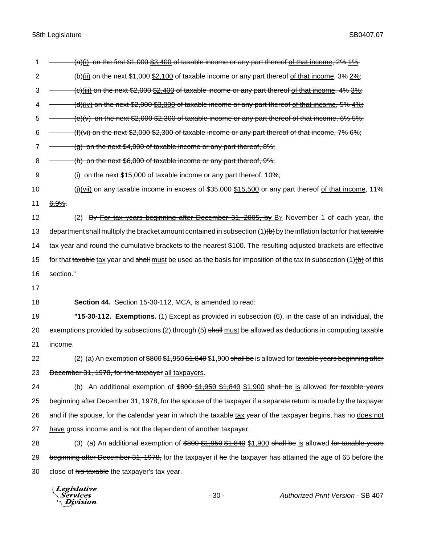1  $\rightarrow$  (a)(i) on the first \$1,000 \$3,400 of taxable income or any part thereof of that income, 2% 1%; 2 (b)(ii) on the next \$1,000 \$2,100 of taxable income or any part thereof of that income, 3% 2%;  $3 \leftarrow$  (c)(iii) on the next \$2,000 \$2,400 of taxable income or any part thereof of that income, 4% 3%; 4  $\rightarrow$  (d)(iv) on the next \$2,000 \$3,000 of taxable income or any part thereof of that income, 5% 4%;  $5 \leftarrow$  (e)(v) on the next \$2,000 \$2,300 of taxable income or any part thereof of that income, 6% 5%; 6  $-$  (f)(vi) on the next \$2,000 \$2,300 of taxable income or any part thereof of that income, 7%  $6\%$ ; 7  $\rightarrow$  (g) on the next \$4,000 of taxable income or any part thereof, 8%; 8 (h) on the next \$6,000 of taxable income or any part thereof, 9%; 9 <del>(i) on the next \$15,000 of taxable income or any part thereof, 10%;</del> 10 - (j)(vii) on any taxable income in excess of \$35,000 \$15,500 or any part thereof of that income, 11% 11 6.9%. 12 (2) By For tax years beginning after December 31, 2005, by BY November 1 of each year, the 13 department shall multiply the bracket amount contained in subsection (1) $\overline{\textbf{b}}$  by the inflation factor for that taxable 14 tax year and round the cumulative brackets to the nearest \$100. The resulting adjusted brackets are effective 15 for that taxable tax year and shall must be used as the basis for imposition of the tax in subsection (1) $(b)$  of this 16 section." 17 18 **Section 44.** Section 15-30-112, MCA, is amended to read: 19 **"15-30-112. Exemptions.** (1) Except as provided in subsection (6), in the case of an individual, the 20 exemptions provided by subsections (2) through (5) shall must be allowed as deductions in computing taxable 21 income. 22 (2) (a) An exemption of \$800 \$1,950 \$1,840 \$1,900 shall be is allowed for taxable years beginning after 23 Becember 31, 1978, for the taxpayer all taxpayers. 24 (b) An additional exemption of \$800 \$1,950 \$1,840 \$1,900 shall be is allowed for taxable years 25 beginning after December 31, 1978, for the spouse of the taxpayer if a separate return is made by the taxpayer 26 and if the spouse, for the calendar year in which the taxable tax year of the taxpayer begins, has no does not 27 have gross income and is not the dependent of another taxpayer. 28 (3) (a) An additional exemption of  $$800 $1,950 $1,840 $1,900$  shall be is allowed for taxable years 29 beginning after December 31, 1978, for the taxpayer if he the taxpayer has attained the age of 65 before the 30 close of his taxable the taxpayer's tax year.

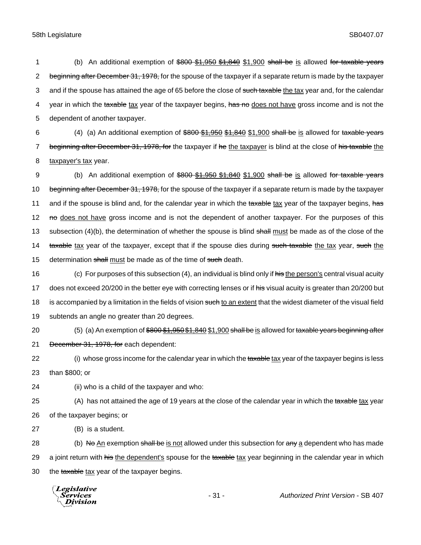1 (b) An additional exemption of \$800 \$1,950 \$1,840 \$1,900 shall be is allowed for taxable years 2 beginning after December 31, 1978, for the spouse of the taxpayer if a separate return is made by the taxpayer 3 and if the spouse has attained the age of 65 before the close of such taxable the tax year and, for the calendar 4 year in which the taxable tax year of the taxpayer begins, has no does not have gross income and is not the 5 dependent of another taxpayer.

6 (4) (a) An additional exemption of  $\frac{600 \cdot 61,950 \cdot 61,840 \cdot 61,900}{61,900 \cdot 61}$  shall be is allowed for taxable years 7 beginning after December 31, 1978, for the taxpayer if he the taxpayer is blind at the close of his taxable the 8 taxpayer's tax year.

9 (b) An additional exemption of \$800 \$1,950 \$1,840 \$1,900 shall be is allowed for taxable years 10 beginning after December 31, 1978, for the spouse of the taxpayer if a separate return is made by the taxpayer 11 and if the spouse is blind and, for the calendar year in which the taxable tax year of the taxpayer begins, has 12 no does not have gross income and is not the dependent of another taxpayer. For the purposes of this 13 subsection (4)(b), the determination of whether the spouse is blind shall must be made as of the close of the 14 taxable tax year of the taxpayer, except that if the spouse dies during such taxable the tax year, such the 15 determination shall must be made as of the time of such death.

16 (c) For purposes of this subsection (4), an individual is blind only if his the person's central visual acuity 17 does not exceed 20/200 in the better eye with correcting lenses or if his visual acuity is greater than 20/200 but 18 is accompanied by a limitation in the fields of vision such to an extent that the widest diameter of the visual field 19 subtends an angle no greater than 20 degrees.

20 (5) (a) An exemption of  $$800 $1,950 $1,840 $1,900$  shall be is allowed for taxable years beginning after

21 December 31, 1978, for each dependent:

22 (i) whose gross income for the calendar year in which the taxable tax year of the taxpayer begins is less 23 than \$800; or

24 (ii) who is a child of the taxpayer and who:

25 (A) has not attained the age of 19 years at the close of the calendar year in which the taxable tax year 26 of the taxpayer begins; or

27 (B) is a student.

28 (b) No An exemption shall be is not allowed under this subsection for any a dependent who has made 29 a joint return with his the dependent's spouse for the taxable tax year beginning in the calendar year in which 30 the taxable tax year of the taxpayer begins.

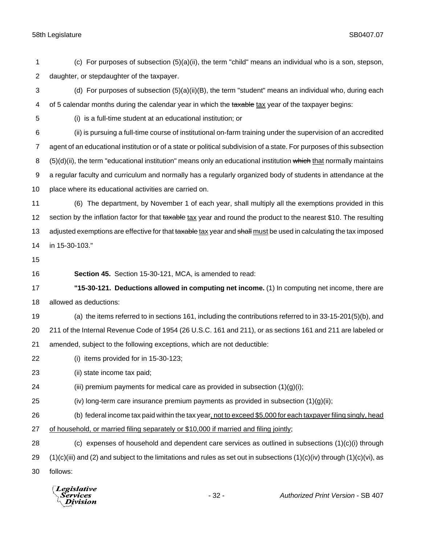(c) For purposes of subsection (5)(a)(ii), the term "child" means an individual who is a son, stepson, daughter, or stepdaughter of the taxpayer.

 (d) For purposes of subsection (5)(a)(ii)(B), the term "student" means an individual who, during each 4 of 5 calendar months during the calendar year in which the taxable tax year of the taxpayer begins:

(i) is a full-time student at an educational institution; or

 (ii) is pursuing a full-time course of institutional on-farm training under the supervision of an accredited agent of an educational institution or of a state or political subdivision of a state. For purposes of this subsection 8 (5)(d)(ii), the term "educational institution" means only an educational institution which that normally maintains a regular faculty and curriculum and normally has a regularly organized body of students in attendance at the place where its educational activities are carried on.

 (6) The department, by November 1 of each year, shall multiply all the exemptions provided in this 12 section by the inflation factor for that taxable tax year and round the product to the nearest \$10. The resulting 13 adjusted exemptions are effective for that taxable tax year and shall must be used in calculating the tax imposed in 15-30-103."

- 
- 

**Section 45.** Section 15-30-121, MCA, is amended to read:

 **"15-30-121. Deductions allowed in computing net income.** (1) In computing net income, there are allowed as deductions:

(a) the items referred to in sections 161, including the contributions referred to in 33-15-201(5)(b), and

 211 of the Internal Revenue Code of 1954 (26 U.S.C. 161 and 211), or as sections 161 and 211 are labeled or amended, subject to the following exceptions, which are not deductible:

(i) items provided for in 15-30-123;

(ii) state income tax paid;

24 (iii) premium payments for medical care as provided in subsection  $(1)(q)(i)$ ;

25 (iv) long-term care insurance premium payments as provided in subsection  $(1)(g)(ii)$ ;

(b) federal income tax paid within the tax year, not to exceed \$5,000 for each taxpayer filing singly, head

27 of household, or married filing separately or \$10,000 if married and filing jointly;

28 (c) expenses of household and dependent care services as outlined in subsections  $(1)(c)(i)$  through 29  $(1)(c)(iii)$  and (2) and subject to the limitations and rules as set out in subsections  $(1)(c)(iv)$  through  $(1)(c)(vi)$ , as

follows:

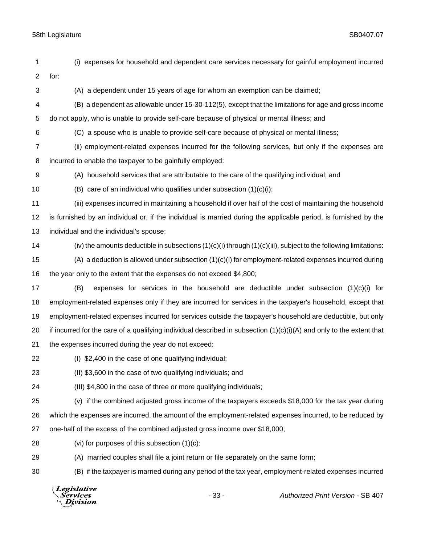for:

| 4  | (B) a dependent as allowable under 15-30-112(5), except that the limitations for age and gross income                  |  |  |
|----|------------------------------------------------------------------------------------------------------------------------|--|--|
| 5  | do not apply, who is unable to provide self-care because of physical or mental illness; and                            |  |  |
| 6  | (C) a spouse who is unable to provide self-care because of physical or mental illness;                                 |  |  |
| 7  | (ii) employment-related expenses incurred for the following services, but only if the expenses are                     |  |  |
| 8  | incurred to enable the taxpayer to be gainfully employed:                                                              |  |  |
| 9  | (A) household services that are attributable to the care of the qualifying individual; and                             |  |  |
| 10 | (B) care of an individual who qualifies under subsection $(1)(c)(i)$ ;                                                 |  |  |
| 11 | (iii) expenses incurred in maintaining a household if over half of the cost of maintaining the household               |  |  |
| 12 | is furnished by an individual or, if the individual is married during the applicable period, is furnished by the       |  |  |
| 13 | individual and the individual's spouse;                                                                                |  |  |
| 14 | (iv) the amounts deductible in subsections $(1)(c)(i)$ through $(1)(c)(iii)$ , subject to the following limitations:   |  |  |
| 15 | $(A)$ a deduction is allowed under subsection $(1)(c)(i)$ for employment-related expenses incurred during              |  |  |
| 16 | the year only to the extent that the expenses do not exceed \$4,800;                                                   |  |  |
| 17 | expenses for services in the household are deductible under subsection $(1)(c)(i)$ for<br>(B)                          |  |  |
| 18 | employment-related expenses only if they are incurred for services in the taxpayer's household, except that            |  |  |
| 19 | employment-related expenses incurred for services outside the taxpayer's household are deductible, but only            |  |  |
| 20 | if incurred for the care of a qualifying individual described in subsection $(1)(c)(i)(A)$ and only to the extent that |  |  |
| 21 | the expenses incurred during the year do not exceed:                                                                   |  |  |
| 22 | (I) \$2,400 in the case of one qualifying individual;                                                                  |  |  |
| 23 | (II) \$3,600 in the case of two qualifying individuals; and                                                            |  |  |
| 24 | (III) \$4,800 in the case of three or more qualifying individuals;                                                     |  |  |
| 25 | (v) if the combined adjusted gross income of the taxpayers exceeds \$18,000 for the tax year during                    |  |  |
| 26 | which the expenses are incurred, the amount of the employment-related expenses incurred, to be reduced by              |  |  |
| 27 | one-half of the excess of the combined adjusted gross income over \$18,000;                                            |  |  |
| 28 | (vi) for purposes of this subsection (1)(c):                                                                           |  |  |
| 29 | (A) married couples shall file a joint return or file separately on the same form;                                     |  |  |
| 30 | (B) if the taxpayer is married during any period of the tax year, employment-related expenses incurred                 |  |  |
|    | Legislative<br>Authorized Print Version - SB 407<br>$-33-$<br>Services<br>ivision                                      |  |  |
|    |                                                                                                                        |  |  |
|    |                                                                                                                        |  |  |

(i) expenses for household and dependent care services necessary for gainful employment incurred

(A) a dependent under 15 years of age for whom an exemption can be claimed;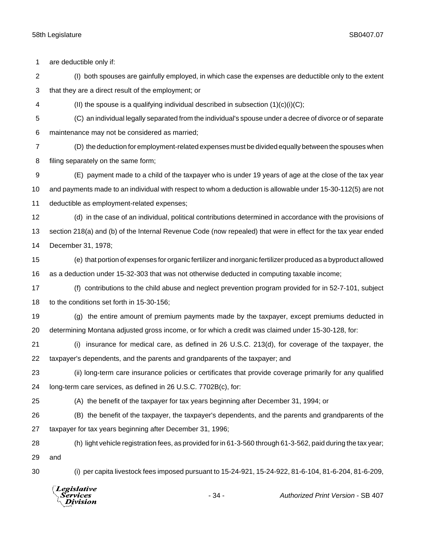| 1              | are deductible only if:                                                                                       |                                                                                             |                                                                                                              |  |
|----------------|---------------------------------------------------------------------------------------------------------------|---------------------------------------------------------------------------------------------|--------------------------------------------------------------------------------------------------------------|--|
| 2              |                                                                                                               |                                                                                             | (I) both spouses are gainfully employed, in which case the expenses are deductible only to the extent        |  |
| 3              | that they are a direct result of the employment; or                                                           |                                                                                             |                                                                                                              |  |
| 4              | (II) the spouse is a qualifying individual described in subsection $(1)(c)(i)(C)$ ;                           |                                                                                             |                                                                                                              |  |
| 5              |                                                                                                               |                                                                                             | (C) an individual legally separated from the individual's spouse under a decree of divorce or of separate    |  |
| 6              | maintenance may not be considered as married;                                                                 |                                                                                             |                                                                                                              |  |
| $\overline{7}$ |                                                                                                               |                                                                                             | (D) the deduction for employment-related expenses must be divided equally between the spouses when           |  |
| 8              | filing separately on the same form;                                                                           |                                                                                             |                                                                                                              |  |
| 9              |                                                                                                               |                                                                                             | (E) payment made to a child of the taxpayer who is under 19 years of age at the close of the tax year        |  |
| 10             | and payments made to an individual with respect to whom a deduction is allowable under 15-30-112(5) are not   |                                                                                             |                                                                                                              |  |
| 11             | deductible as employment-related expenses;                                                                    |                                                                                             |                                                                                                              |  |
| 12             |                                                                                                               |                                                                                             | (d) in the case of an individual, political contributions determined in accordance with the provisions of    |  |
| 13             | section 218(a) and (b) of the Internal Revenue Code (now repealed) that were in effect for the tax year ended |                                                                                             |                                                                                                              |  |
| 14             | December 31, 1978;                                                                                            |                                                                                             |                                                                                                              |  |
| 15             |                                                                                                               |                                                                                             | (e) that portion of expenses for organic fertilizer and inorganic fertilizer produced as a byproduct allowed |  |
| 16             |                                                                                                               | as a deduction under 15-32-303 that was not otherwise deducted in computing taxable income; |                                                                                                              |  |
| 17             |                                                                                                               |                                                                                             | (f) contributions to the child abuse and neglect prevention program provided for in 52-7-101, subject        |  |
| 18             | to the conditions set forth in 15-30-156;                                                                     |                                                                                             |                                                                                                              |  |
| 19             |                                                                                                               |                                                                                             | (g) the entire amount of premium payments made by the taxpayer, except premiums deducted in                  |  |
| 20             | determining Montana adjusted gross income, or for which a credit was claimed under 15-30-128, for:            |                                                                                             |                                                                                                              |  |
| 21             | (i)                                                                                                           |                                                                                             | insurance for medical care, as defined in 26 U.S.C. 213(d), for coverage of the taxpayer, the                |  |
| 22             | taxpayer's dependents, and the parents and grandparents of the taxpayer; and                                  |                                                                                             |                                                                                                              |  |
| 23             | (ii) long-term care insurance policies or certificates that provide coverage primarily for any qualified      |                                                                                             |                                                                                                              |  |
| 24             | long-term care services, as defined in 26 U.S.C. 7702B(c), for:                                               |                                                                                             |                                                                                                              |  |
| 25             | (A) the benefit of the taxpayer for tax years beginning after December 31, 1994; or                           |                                                                                             |                                                                                                              |  |
| 26             |                                                                                                               |                                                                                             | (B) the benefit of the taxpayer, the taxpayer's dependents, and the parents and grandparents of the          |  |
| 27             | taxpayer for tax years beginning after December 31, 1996;                                                     |                                                                                             |                                                                                                              |  |
| 28             |                                                                                                               |                                                                                             | (h) light vehicle registration fees, as provided for in 61-3-560 through 61-3-562, paid during the tax year; |  |
| 29             | and                                                                                                           |                                                                                             |                                                                                                              |  |
| 30             |                                                                                                               |                                                                                             | (i) per capita livestock fees imposed pursuant to 15-24-921, 15-24-922, 81-6-104, 81-6-204, 81-6-209,        |  |
|                | <b>Legislative</b><br>Services<br>Division                                                                    | $-34-$                                                                                      | Authorized Print Version - SB 407                                                                            |  |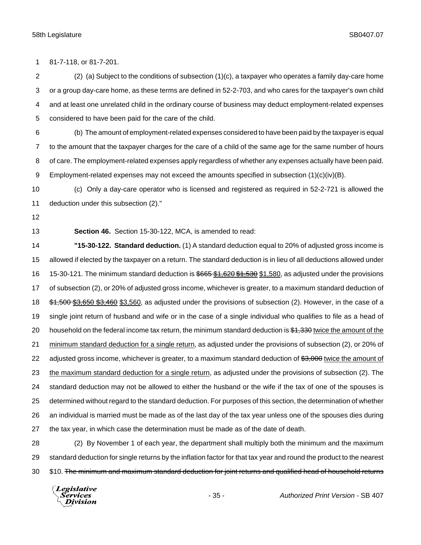81-7-118, or 81-7-201.

 (2) (a) Subject to the conditions of subsection (1)(c), a taxpayer who operates a family day-care home or a group day-care home, as these terms are defined in 52-2-703, and who cares for the taxpayer's own child and at least one unrelated child in the ordinary course of business may deduct employment-related expenses considered to have been paid for the care of the child.

 (b) The amount of employment-related expenses considered to have been paid by the taxpayer is equal to the amount that the taxpayer charges for the care of a child of the same age for the same number of hours of care. The employment-related expenses apply regardless of whether any expenses actually have been paid. 9 Employment-related expenses may not exceed the amounts specified in subsection  $(1)(c)(iv)(B)$ .

 (c) Only a day-care operator who is licensed and registered as required in 52-2-721 is allowed the deduction under this subsection (2)."

**Section 46.** Section 15-30-122, MCA, is amended to read:

 **"15-30-122. Standard deduction.** (1) A standard deduction equal to 20% of adjusted gross income is allowed if elected by the taxpayer on a return. The standard deduction is in lieu of all deductions allowed under 16 15-30-121. The minimum standard deduction is \$665 \$1,620 \$1,530 \$1,580, as adjusted under the provisions of subsection (2), or 20% of adjusted gross income, whichever is greater, to a maximum standard deduction of  $$1,500 $3,650 $3,460 $3,560$ , as adjusted under the provisions of subsection (2). However, in the case of a single joint return of husband and wife or in the case of a single individual who qualifies to file as a head of 20 household on the federal income tax return, the minimum standard deduction is  $$1,330$  twice the amount of the 21 minimum standard deduction for a single return, as adjusted under the provisions of subsection (2), or 20% of 22 adjusted gross income, whichever is greater, to a maximum standard deduction of \$3,000 twice the amount of 23 the maximum standard deduction for a single return, as adjusted under the provisions of subsection (2). The standard deduction may not be allowed to either the husband or the wife if the tax of one of the spouses is determined without regard to the standard deduction. For purposes of this section, the determination of whether an individual is married must be made as of the last day of the tax year unless one of the spouses dies during the tax year, in which case the determination must be made as of the date of death.

 (2) By November 1 of each year, the department shall multiply both the minimum and the maximum standard deduction for single returns by the inflation factor for that tax year and round the product to the nearest 30 \$10. The minimum and maximum standard deduction for joint returns and qualified head of household returns

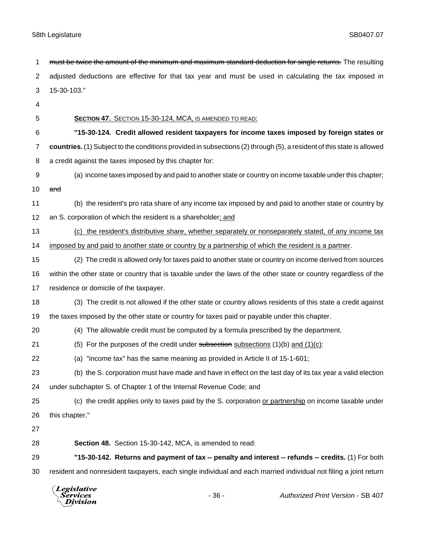adjusted deductions are effective for that tax year and must be used in calculating the tax imposed in 15-30-103." **SECTION 47.** SECTION 15-30-124, MCA, IS AMENDED TO READ: **"15-30-124. Credit allowed resident taxpayers for income taxes imposed by foreign states or countries.** (1) Subject to the conditions provided in subsections (2) through (5), a resident of this state is allowed a credit against the taxes imposed by this chapter for: (a) income taxes imposed by and paid to another state or country on income taxable under this chapter;  $and$  (b) the resident's pro rata share of any income tax imposed by and paid to another state or country by an S. corporation of which the resident is a shareholder; and (c) the resident's distributive share, whether separately or nonseparately stated, of any income tax 14 imposed by and paid to another state or country by a partnership of which the resident is a partner. (2) The credit is allowed only for taxes paid to another state or country on income derived from sources within the other state or country that is taxable under the laws of the other state or country regardless of the residence or domicile of the taxpayer. (3) The credit is not allowed if the other state or country allows residents of this state a credit against the taxes imposed by the other state or country for taxes paid or payable under this chapter. (4) The allowable credit must be computed by a formula prescribed by the department. 21 (5) For the purposes of the credit under subsection subsections  $(1)(b)$  and  $(1)(c)$ : (a) "income tax" has the same meaning as provided in Article II of 15-1-601; (b) the S. corporation must have made and have in effect on the last day of its tax year a valid election under subchapter S. of Chapter 1 of the Internal Revenue Code; and (c) the credit applies only to taxes paid by the S. corporation or partnership on income taxable under this chapter." **Section 48.** Section 15-30-142, MCA, is amended to read: **"15-30-142. Returns and payment of tax -- penalty and interest -- refunds -- credits.** (1) For both resident and nonresident taxpayers, each single individual and each married individual not filing a joint return**Legislative** *Services* - 36 - *Authorized Print Version* - SB 407 Division

1 must be twice the amount of the minimum and maximum standard deduction for single returns. The resulting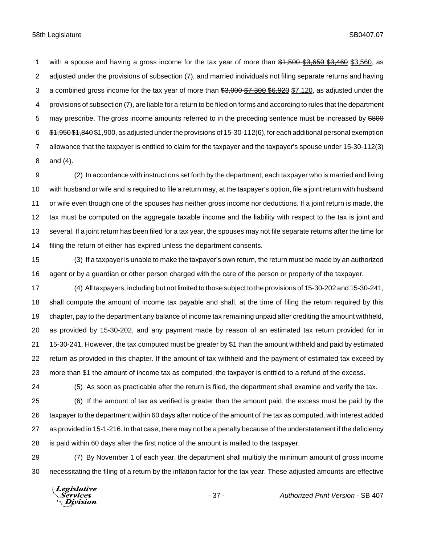1 with a spouse and having a gross income for the tax year of more than \$1,500 \$3,650 \$3,460 \$3,560, as adjusted under the provisions of subsection (7), and married individuals not filing separate returns and having 3 a combined gross income for the tax year of more than  $3,000$  \$7,300 \$6,920 \$7,120, as adjusted under the provisions of subsection (7), are liable for a return to be filed on forms and according to rules that the department 5 may prescribe. The gross income amounts referred to in the preceding sentence must be increased by \$800 \$1,950\$1,840 \$1,900, as adjusted under the provisions of 15-30-112(6), for each additional personal exemption allowance that the taxpayer is entitled to claim for the taxpayer and the taxpayer's spouse under 15-30-112(3) and (4).

 (2) In accordance with instructions set forth by the department, each taxpayer who is married and living with husband or wife and is required to file a return may, at the taxpayer's option, file a joint return with husband or wife even though one of the spouses has neither gross income nor deductions. If a joint return is made, the tax must be computed on the aggregate taxable income and the liability with respect to the tax is joint and several. If a joint return has been filed for a tax year, the spouses may not file separate returns after the time for filing the return of either has expired unless the department consents.

 (3) If a taxpayer is unable to make the taxpayer's own return, the return must be made by an authorized agent or by a guardian or other person charged with the care of the person or property of the taxpayer.

 (4) All taxpayers, including but not limited to those subject to the provisions of 15-30-202 and 15-30-241, shall compute the amount of income tax payable and shall, at the time of filing the return required by this chapter, pay to the department any balance of income tax remaining unpaid after crediting the amount withheld, as provided by 15-30-202, and any payment made by reason of an estimated tax return provided for in 15-30-241. However, the tax computed must be greater by \$1 than the amount withheld and paid by estimated return as provided in this chapter. If the amount of tax withheld and the payment of estimated tax exceed by more than \$1 the amount of income tax as computed, the taxpayer is entitled to a refund of the excess.

(5) As soon as practicable after the return is filed, the department shall examine and verify the tax.

 (6) If the amount of tax as verified is greater than the amount paid, the excess must be paid by the taxpayer to the department within 60 days after notice of the amount of the tax as computed, with interest added as provided in 15-1-216. In that case, there may not be a penalty because of the understatement if the deficiency is paid within 60 days after the first notice of the amount is mailed to the taxpayer.

 (7) By November 1 of each year, the department shall multiply the minimum amount of gross income necessitating the filing of a return by the inflation factor for the tax year. These adjusted amounts are effective

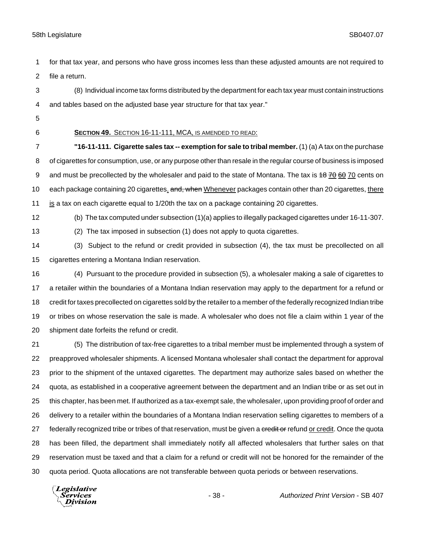for that tax year, and persons who have gross incomes less than these adjusted amounts are not required to file a return.

 (8) Individual income tax forms distributed by the department for each tax year must contain instructions and tables based on the adjusted base year structure for that tax year."

- 
- 

### **SECTION 49.** SECTION 16-11-111, MCA, IS AMENDED TO READ:

 **"16-11-111. Cigarette sales tax -- exemption for sale to tribal member.** (1) (a) A tax on the purchase of cigarettes for consumption, use, or any purpose other than resale in the regular course of business is imposed 9 and must be precollected by the wholesaler and paid to the state of Montana. The tax is 48 70 60 70 cents on 10 each package containing 20 cigarettes. and, when Whenever packages contain other than 20 cigarettes, there is a tax on each cigarette equal to 1/20th the tax on a package containing 20 cigarettes.

(b) The tax computed under subsection (1)(a) applies to illegally packaged cigarettes under 16-11-307.

(2) The tax imposed in subsection (1) does not apply to quota cigarettes.

- (3) Subject to the refund or credit provided in subsection (4), the tax must be precollected on all cigarettes entering a Montana Indian reservation.
- (4) Pursuant to the procedure provided in subsection (5), a wholesaler making a sale of cigarettes to a retailer within the boundaries of a Montana Indian reservation may apply to the department for a refund or credit for taxes precollected on cigarettes sold by the retailer to a member of the federally recognized Indian tribe or tribes on whose reservation the sale is made. A wholesaler who does not file a claim within 1 year of the shipment date forfeits the refund or credit.

 (5) The distribution of tax-free cigarettes to a tribal member must be implemented through a system of preapproved wholesaler shipments. A licensed Montana wholesaler shall contact the department for approval prior to the shipment of the untaxed cigarettes. The department may authorize sales based on whether the quota, as established in a cooperative agreement between the department and an Indian tribe or as set out in this chapter, has been met. If authorized as a tax-exempt sale, the wholesaler, upon providing proof of order and delivery to a retailer within the boundaries of a Montana Indian reservation selling cigarettes to members of a 27 federally recognized tribe or tribes of that reservation, must be given a credit or refund or credit. Once the quota has been filled, the department shall immediately notify all affected wholesalers that further sales on that reservation must be taxed and that a claim for a refund or credit will not be honored for the remainder of the quota period. Quota allocations are not transferable between quota periods or between reservations.

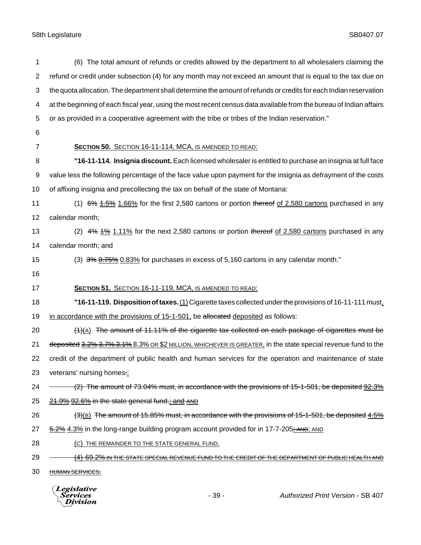| 1  | (6) The total amount of refunds or credits allowed by the department to all wholesalers claiming the                |
|----|---------------------------------------------------------------------------------------------------------------------|
| 2  | refund or credit under subsection (4) for any month may not exceed an amount that is equal to the tax due on        |
| 3  | the quota allocation. The department shall determine the amount of refunds or credits for each Indian reservation   |
| 4  | at the beginning of each fiscal year, using the most recent census data available from the bureau of Indian affairs |
| 5  | or as provided in a cooperative agreement with the tribe or tribes of the Indian reservation."                      |
| 6  |                                                                                                                     |
| 7  | SECTION 50. SECTION 16-11-114, MCA, IS AMENDED TO READ:                                                             |
| 8  | "16-11-114. Insignia discount. Each licensed wholesaler is entitled to purchase an insignia at full face            |
| 9  | value less the following percentage of the face value upon payment for the insignia as defrayment of the costs      |
| 10 | of affixing insignia and precollecting the tax on behalf of the state of Montana:                                   |
| 11 | $(1)$ 6% $1.5\%$ 1.66% for the first 2,580 cartons or portion thereof of 2,580 cartons purchased in any             |
| 12 | calendar month;                                                                                                     |
| 13 | (2) $4\%$ $4\%$ 1.11% for the next 2,580 cartons or portion thereof of 2,580 cartons purchased in any               |
| 14 | calendar month; and                                                                                                 |
| 15 | (3) $3\%$ $6.75\%$ 0.83% for purchases in excess of 5,160 cartons in any calendar month."                           |
| 16 |                                                                                                                     |
| 17 | SECTION 51. SECTION 16-11-119, MCA, IS AMENDED TO READ:                                                             |
| 18 | "16-11-119. Disposition of taxes. $(1)$ Cigarette taxes collected under the provisions of 16-11-111 must,           |
| 19 | in accordance with the provisions of 15-1-501, be allocated deposited as follows:                                   |
| 20 | $(1)$ (A) The amount of 11.11% of the cigarette tax collected on each package of cigarettes must be                 |
| 21 | deposited 3.2% 3.7% 3.1% 8.3% OR \$2 MILLION, WHICHEVER IS GREATER, in the state special revenue fund to the        |
| 22 | credit of the department of public health and human services for the operation and maintenance of state             |
| 23 | veterans' nursing homes.;                                                                                           |
| 24 | (2) The amount of 73.04% must, in accordance with the provisions of 15-1-501, be deposited 92.3%                    |
| 25 | 21.9% 92.6% in the state general fund.; and AND                                                                     |
| 26 | $(3)(8)$ The amount of 15.85% must, in accordance with the provisions of 15-1-501, be deposited 4.5%                |
| 27 | 5.2% 4.3% in the long-range building program account provided for in 17-7-205; AND, AND                             |
| 28 | (C) THE REMAINDER TO THE STATE GENERAL FUND.                                                                        |
| 29 | <u>(4) 69.2% IN THE STATE SPECIAL REVENUE FUND TO THE CREDIT OF THE DEPARTMENT OF PUBLIC HEALTH AND </u>            |
| 30 | HUMAN SERVICES.                                                                                                     |
|    | $\sqrt{L}$ <i>Legislative</i>                                                                                       |



- 39 - *Authorized Print Version* - SB 407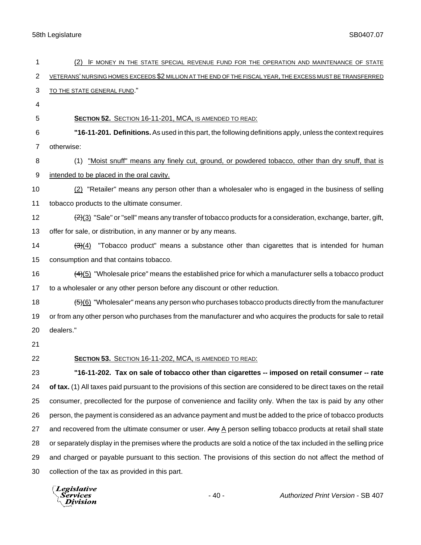| 1              | IF MONEY IN THE STATE SPECIAL REVENUE FUND FOR THE OPERATION AND MAINTENANCE OF STATE<br>(2)                                |
|----------------|-----------------------------------------------------------------------------------------------------------------------------|
| $\overline{c}$ | VETERANS' NURSING HOMES EXCEEDS \$2 MILLION AT THE END OF THE FISCAL YEAR, THE EXCESS MUST BE TRANSFERRED                   |
| 3              | TO THE STATE GENERAL FUND."                                                                                                 |
| 4              |                                                                                                                             |
| 5              | <b>SECTION 52.</b> SECTION 16-11-201, MCA, IS AMENDED TO READ:                                                              |
| 6              | "16-11-201. Definitions. As used in this part, the following definitions apply, unless the context requires                 |
| 7              | otherwise:                                                                                                                  |
| 8              | "Moist snuff" means any finely cut, ground, or powdered tobacco, other than dry snuff, that is<br>(1)                       |
| 9              | intended to be placed in the oral cavity.                                                                                   |
| 10             | (2) "Retailer" means any person other than a wholesaler who is engaged in the business of selling                           |
| 11             | tobacco products to the ultimate consumer.                                                                                  |
| 12             | $\frac{2(3)}{2}$ "Sale" or "sell" means any transfer of tobacco products for a consideration, exchange, barter, gift,       |
| 13             | offer for sale, or distribution, in any manner or by any means.                                                             |
| 14             | "Tobacco product" means a substance other than cigarettes that is intended for human<br>(3)(4)                              |
| 15             | consumption and that contains tobacco.                                                                                      |
| 16             | $\frac{(4)(5)}{(4)(5)}$ "Wholesale price" means the established price for which a manufacturer sells a tobacco product      |
| 17             | to a wholesaler or any other person before any discount or other reduction.                                                 |
| 18             | $\frac{56}{6}$ "Wholesaler" means any person who purchases tobacco products directly from the manufacturer                  |
| 19             | or from any other person who purchases from the manufacturer and who acquires the products for sale to retail               |
| 20             | dealers."                                                                                                                   |
| 21             |                                                                                                                             |
| 22             | SECTION 53. SECTION 16-11-202, MCA, IS AMENDED TO READ:                                                                     |
| 23             | "16-11-202. Tax on sale of tobacco other than cigarettes -- imposed on retail consumer -- rate                              |
| 24             | of tax. (1) All taxes paid pursuant to the provisions of this section are considered to be direct taxes on the retail       |
| 25             | consumer, precollected for the purpose of convenience and facility only. When the tax is paid by any other                  |
| 26             | person, the payment is considered as an advance payment and must be added to the price of tobacco products                  |
| 27             | and recovered from the ultimate consumer or user. Any $\underline{A}$ person selling tobacco products at retail shall state |
| 28             | or separately display in the premises where the products are sold a notice of the tax included in the selling price         |
| 29             | and charged or payable pursuant to this section. The provisions of this section do not affect the method of                 |
| 30             | collection of the tax as provided in this part.                                                                             |

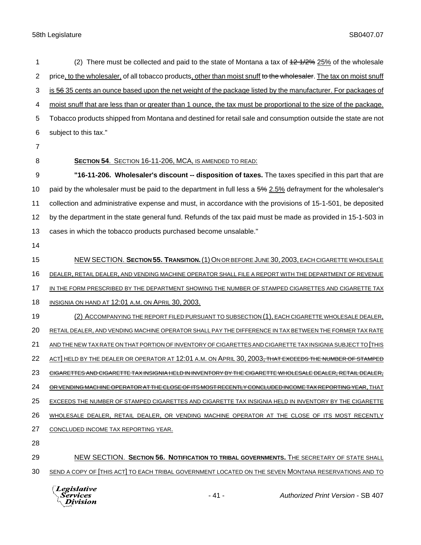1 (2) There must be collected and paid to the state of Montana a tax of  $42\frac{4}{2}\frac{4}{2}\frac{6}{2}\frac{5}{6}$  of the wholesale 2 price, to the wholesaler, of all tobacco products, other than moist snuff to the wholesaler. The tax on moist snuff 3 is 56 35 cents an ounce based upon the net weight of the package listed by the manufacturer. For packages of moist snuff that are less than or greater than 1 ounce, the tax must be proportional to the size of the package. Tobacco products shipped from Montana and destined for retail sale and consumption outside the state are not subject to this tax." **SECTION 54**. SECTION 16-11-206, MCA, IS AMENDED TO READ: **"16-11-206. Wholesaler's discount -- disposition of taxes.** The taxes specified in this part that are 10 paid by the wholesaler must be paid to the department in full less a 5% 2.5% defrayment for the wholesaler's collection and administrative expense and must, in accordance with the provisions of 15-1-501, be deposited by the department in the state general fund. Refunds of the tax paid must be made as provided in 15-1-503 in cases in which the tobacco products purchased become unsalable." NEW SECTION. **SECTION 55. TRANSITION.**(1)ON OR BEFORE JUNE 30, 2003, EACH CIGARETTE WHOLESALE DEALER, RETAIL DEALER, AND VENDING MACHINE OPERATOR SHALL FILE A REPORT WITH THE DEPARTMENT OF REVENUE IN THE FORM PRESCRIBED BY THE DEPARTMENT SHOWING THE NUMBER OF STAMPED CIGARETTES AND CIGARETTE TAX INSIGNIA ON HAND AT 12:01 A.M. ON APRIL 30, 2003. (2) ACCOMPANYING THE REPORT FILED PURSUANT TO SUBSECTION (1), EACH CIGARETTE WHOLESALE DEALER, RETAIL DEALER, AND VENDING MACHINE OPERATOR SHALL PAY THE DIFFERENCE IN TAX BETWEEN THE FORMER TAX RATE 21 AND THE NEW TAX RATE ON THAT PORTION OF INVENTORY OF CIGARETTES AND CIGARETTE TAX INSIGNIA SUBJECT TO [THIS 22 ACT] HELD BY THE DEALER OR OPERATOR AT 12:01 A.M. ON APRIL 30, 2003, THAT EXCEEDS THE NUMBER OF STAMPED 23 CHGARETTES AND CIGARETTE TAX INSIGNIA HELD IN INVENTORY BY THE CIGARETTE WHOLESALE DEALER, RETAIL DEALER, 24 OR VENDING MACHINE OPERATOR AT THE CLOSE OF ITS MOST RECENTLY CONCLUDED INCOME TAX REPORTING YEAR, THAT EXCEEDS THE NUMBER OF STAMPED CIGARETTES AND CIGARETTE TAX INSIGNIA HELD IN INVENTORY BY THE CIGARETTE WHOLESALE DEALER, RETAIL DEALER, OR VENDING MACHINE OPERATOR AT THE CLOSE OF ITS MOST RECENTLY 27 CONCLUDED INCOME TAX REPORTING YEAR. 

 NEW SECTION. **SECTION 56. NOTIFICATION TO TRIBAL GOVERNMENTS.** THE SECRETARY OF STATE SHALL SEND A COPY OF [THIS ACT] TO EACH TRIBAL GOVERNMENT LOCATED ON THE SEVEN MONTANA RESERVATIONS AND TO

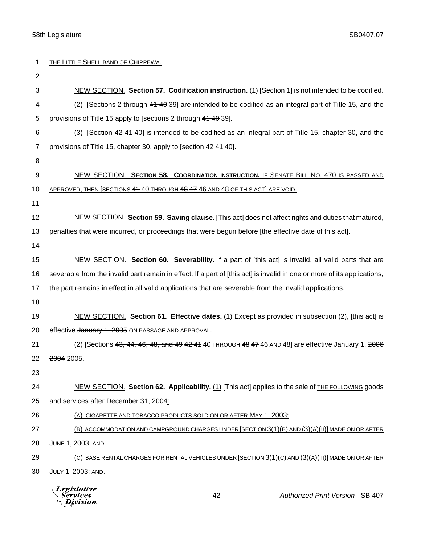| 1              | THE LITTLE SHELL BAND OF CHIPPEWA.                                                                                       |
|----------------|--------------------------------------------------------------------------------------------------------------------------|
| $\overline{2}$ |                                                                                                                          |
| 3              | NEW SECTION. Section 57. Codification instruction. (1) [Section 1] is not intended to be codified.                       |
| 4              | (2) [Sections 2 through 44 40 39] are intended to be codified as an integral part of Title 15, and the                   |
| 5              | provisions of Title 15 apply to [sections 2 through 41 40 39].                                                           |
| 6              | (3) [Section 42 41 40] is intended to be codified as an integral part of Title 15, chapter 30, and the                   |
| 7              | provisions of Title 15, chapter 30, apply to [section 42 41 40].                                                         |
| 8              |                                                                                                                          |
| 9              | NEW SECTION. SECTION 58. COORDINATION INSTRUCTION. IF SENATE BILL NO. 470 IS PASSED AND                                  |
| 10             | APPROVED, THEN SECTIONS 44 40 THROUGH 48 47 46 AND 48 OF THIS ACT ARE VOID.                                              |
| 11             |                                                                                                                          |
| 12             | NEW SECTION. Section 59. Saving clause. [This act] does not affect rights and duties that matured,                       |
| 13             | penalties that were incurred, or proceedings that were begun before [the effective date of this act].                    |
| 14             |                                                                                                                          |
| 15             | NEW SECTION. Section 60. Severability. If a part of [this act] is invalid, all valid parts that are                      |
| 16             | severable from the invalid part remain in effect. If a part of [this act] is invalid in one or more of its applications, |
| 17             | the part remains in effect in all valid applications that are severable from the invalid applications.                   |
| 18             |                                                                                                                          |
| 19             | NEW SECTION. Section 61. Effective dates. (1) Except as provided in subsection (2), [this act] is                        |
| 20             | effective January 1, 2005 ON PASSAGE AND APPROVAL.                                                                       |
| 21             | (2) [Sections $43, 44, 46, 48,$ and $49, 42, 44, 40$ THROUGH $48, 47, 46$ AND $48$ ] are effective January 1, $2006$     |
| 22             | <del>2004</del> 2005.                                                                                                    |
| 23             |                                                                                                                          |
| 24             | NEW SECTION. Section 62. Applicability. (1) [This act] applies to the sale of THE FOLLOWING goods                        |
| 25             | and services after December 31, 2004:                                                                                    |
| 26             | (A) CIGARETTE AND TOBACCO PRODUCTS SOLD ON OR AFTER MAY 1, 2003;                                                         |
| 27             | (B) ACCOMMODATION AND CAMPGROUND CHARGES UNDER SECTION 3(1)(B) AND (3)(A)(II) MADE ON OR AFTER                           |
| 28             | JUNE 1, 2003; AND                                                                                                        |
| 29             | (C) BASE RENTAL CHARGES FOR RENTAL VEHICLES UNDER [SECTION 3(1)(C) AND (3)(A)(III)] MADE ON OR AFTER                     |
| 30             | JULY 1, 2003 <del>; AND</del> .                                                                                          |
|                | <b>Legislative</b><br>$-42-$<br>Authorized Print Version - SB 407<br>Services<br>ivision                                 |